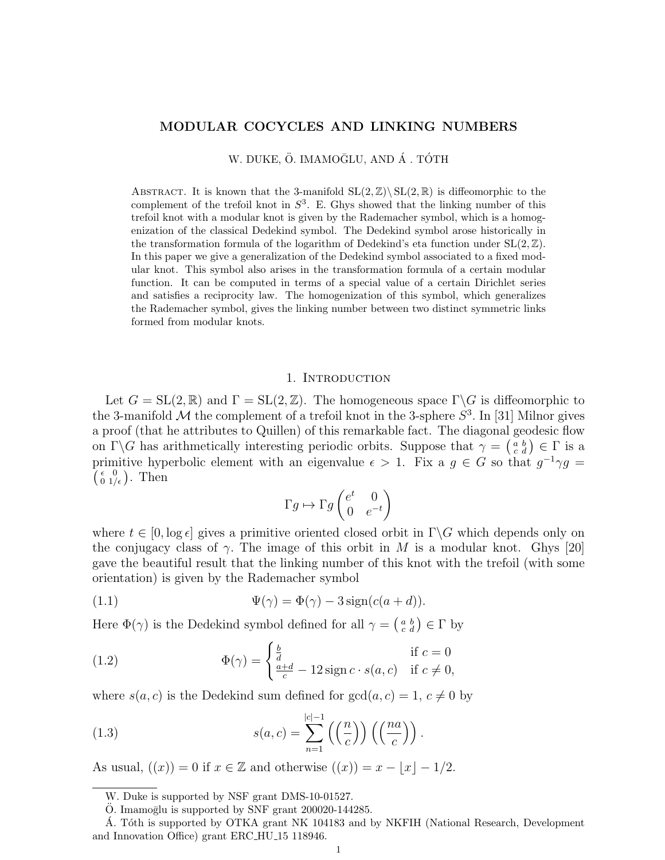### MODULAR COCYCLES AND LINKING NUMBERS

W. DUKE, Ö. IMAMOĞLU, AND Á. TÓTH

ABSTRACT. It is known that the 3-manifold  $SL(2, \mathbb{Z})\backslash SL(2, \mathbb{R})$  is diffeomorphic to the complement of the trefoil knot in  $S^3$ . E. Ghys showed that the linking number of this trefoil knot with a modular knot is given by the Rademacher symbol, which is a homogenization of the classical Dedekind symbol. The Dedekind symbol arose historically in the transformation formula of the logarithm of Dedekind's eta function under  $SL(2, \mathbb{Z})$ . In this paper we give a generalization of the Dedekind symbol associated to a fixed modular knot. This symbol also arises in the transformation formula of a certain modular function. It can be computed in terms of a special value of a certain Dirichlet series and satisfies a reciprocity law. The homogenization of this symbol, which generalizes the Rademacher symbol, gives the linking number between two distinct symmetric links formed from modular knots.

#### 1. INTRODUCTION

Let  $G = SL(2, \mathbb{R})$  and  $\Gamma = SL(2, \mathbb{Z})$ . The homogeneous space  $\Gamma \backslash G$  is diffeomorphic to the 3-manifold  $\mathcal M$  the complement of a trefoil knot in the 3-sphere  $S^3$ . In [31] Milnor gives a proof (that he attributes to Quillen) of this remarkable fact. The diagonal geodesic flow on  $\Gamma \backslash G$  has arithmetically interesting periodic orbits. Suppose that  $\gamma = \begin{pmatrix} a & b \\ c & d \end{pmatrix} \in \Gamma$  is a primitive hyperbolic element with an eigenvalue  $\epsilon > 1$ . Fix a  $g \in G$  so that  $g^{-1}\gamma g =$  $\begin{pmatrix} \epsilon & 0 \\ 0 & 1/\epsilon \end{pmatrix}$ . Then

$$
\Gamma g \mapsto \Gamma g \begin{pmatrix} e^t & 0 \\ 0 & e^{-t} \end{pmatrix}
$$

where  $t \in [0, \log \epsilon]$  gives a primitive oriented closed orbit in  $\Gamma \backslash G$  which depends only on the conjugacy class of  $\gamma$ . The image of this orbit in M is a modular knot. Ghys [20] gave the beautiful result that the linking number of this knot with the trefoil (with some orientation) is given by the Rademacher symbol

(1.1) 
$$
\Psi(\gamma) = \Phi(\gamma) - 3\operatorname{sign}(c(a+d)).
$$

Here  $\Phi(\gamma)$  is the Dedekind symbol defined for all  $\gamma = \begin{pmatrix} a & b \\ c & d \end{pmatrix} \in \Gamma$  by

(1.2) 
$$
\Phi(\gamma) = \begin{cases} \frac{b}{d} & \text{if } c = 0\\ \frac{a+d}{c} - 12\operatorname{sign} c \cdot s(a, c) & \text{if } c \neq 0, \end{cases}
$$

where  $s(a, c)$  is the Dedekind sum defined for  $gcd(a, c) = 1, c \neq 0$  by

(1.3) 
$$
s(a,c) = \sum_{n=1}^{|c|-1} \left( \left( \frac{n}{c} \right) \right) \left( \left( \frac{na}{c} \right) \right).
$$

As usual,  $((x)) = 0$  if  $x \in \mathbb{Z}$  and otherwise  $((x)) = x - \lfloor x \rfloor - 1/2$ .

W. Duke is supported by NSF grant DMS-10-01527.

 $\ddot{\text{O}}$ . Imamoglu is supported by SNF grant 200020-144285.

Á. Tóth is supported by OTKA grant NK 104183 and by NKFIH (National Research, Development and Innovation Office) grant ERC HU 15 118946.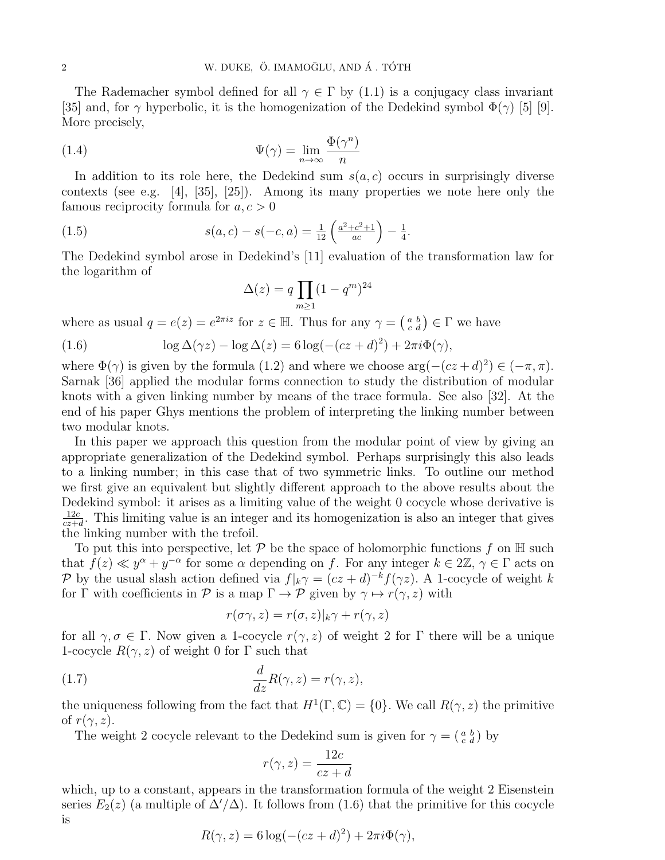The Rademacher symbol defined for all  $\gamma \in \Gamma$  by (1.1) is a conjugacy class invariant [35] and, for  $\gamma$  hyperbolic, it is the homogenization of the Dedekind symbol  $\Phi(\gamma)$  [5] [9]. More precisely,

(1.4) 
$$
\Psi(\gamma) = \lim_{n \to \infty} \frac{\Phi(\gamma^n)}{n}
$$

In addition to its role here, the Dedekind sum  $s(a, c)$  occurs in surprisingly diverse contexts (see e.g. [4], [35], [25]). Among its many properties we note here only the famous reciprocity formula for  $a, c > 0$ 

(1.5) 
$$
s(a,c) - s(-c,a) = \frac{1}{12} \left( \frac{a^2 + c^2 + 1}{ac} \right) - \frac{1}{4}.
$$

The Dedekind symbol arose in Dedekind's [11] evaluation of the transformation law for the logarithm of

$$
\Delta(z) = q \prod_{m \ge 1} (1 - q^m)^{24}
$$

where as usual  $q = e(z) = e^{2\pi i z}$  for  $z \in \mathbb{H}$ . Thus for any  $\gamma = \begin{pmatrix} a & b \\ c & d \end{pmatrix} \in \Gamma$  we have

(1.6) 
$$
\log \Delta(\gamma z) - \log \Delta(z) = 6 \log(-(cz+d)^2) + 2\pi i \Phi(\gamma),
$$

where  $\Phi(\gamma)$  is given by the formula (1.2) and where we choose  $\arg(-(cz+d)^2) \in (-\pi, \pi)$ . Sarnak [36] applied the modular forms connection to study the distribution of modular knots with a given linking number by means of the trace formula. See also [32]. At the end of his paper Ghys mentions the problem of interpreting the linking number between two modular knots.

In this paper we approach this question from the modular point of view by giving an appropriate generalization of the Dedekind symbol. Perhaps surprisingly this also leads to a linking number; in this case that of two symmetric links. To outline our method we first give an equivalent but slightly different approach to the above results about the Dedekind symbol: it arises as a limiting value of the weight 0 cocycle whose derivative is 12c  $\frac{12c}{cz+d}$ . This limiting value is an integer and its homogenization is also an integer that gives the linking number with the trefoil.

To put this into perspective, let  $\mathcal P$  be the space of holomorphic functions f on  $\mathbb H$  such that  $f(z) \ll y^{\alpha} + y^{-\alpha}$  for some  $\alpha$  depending on f. For any integer  $k \in 2\mathbb{Z}, \gamma \in \Gamma$  acts on P by the usual slash action defined via  $f|_k \gamma = (cz+d)^{-k} f(\gamma z)$ . A 1-cocycle of weight k for Γ with coefficients in P is a map  $\Gamma \to \mathcal{P}$  given by  $\gamma \mapsto r(\gamma, z)$  with

$$
r(\sigma\gamma, z) = r(\sigma, z)|_k \gamma + r(\gamma, z)
$$

for all  $\gamma, \sigma \in \Gamma$ . Now given a 1-cocycle  $r(\gamma, z)$  of weight 2 for  $\Gamma$  there will be a unique 1-cocycle  $R(\gamma, z)$  of weight 0 for  $\Gamma$  such that

(1.7) 
$$
\frac{d}{dz}R(\gamma, z) = r(\gamma, z),
$$

the uniqueness following from the fact that  $H^1(\Gamma, \mathbb{C}) = \{0\}$ . We call  $R(\gamma, z)$  the primitive of  $r(\gamma, z)$ .

The weight 2 cocycle relevant to the Dedekind sum is given for  $\gamma = \begin{pmatrix} a & b \\ c & d \end{pmatrix}$  by

$$
r(\gamma, z) = \frac{12c}{cz + d}
$$

which, up to a constant, appears in the transformation formula of the weight 2 Eisenstein series  $E_2(z)$  (a multiple of  $\Delta'/\Delta$ ). It follows from (1.6) that the primitive for this cocycle is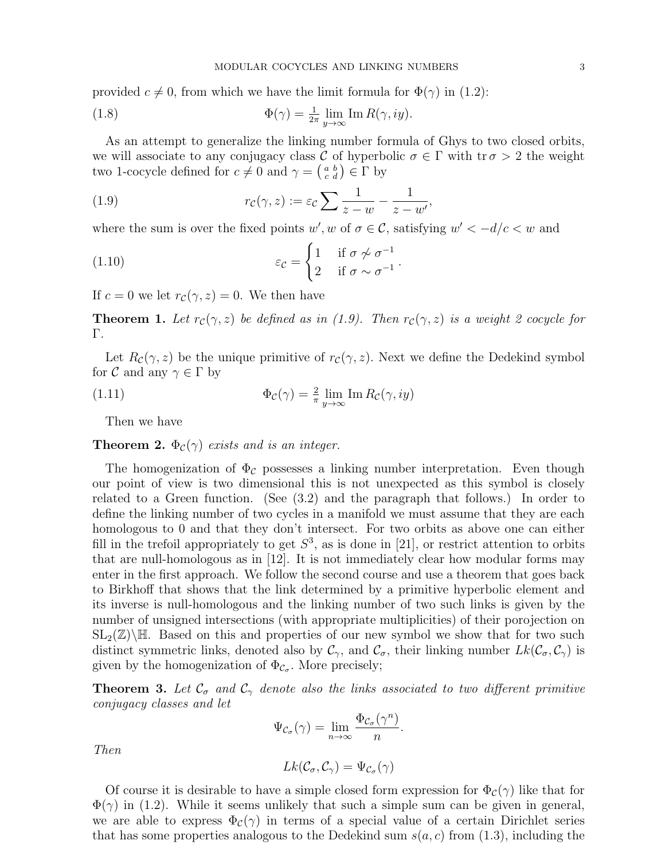provided  $c \neq 0$ , from which we have the limit formula for  $\Phi(\gamma)$  in (1.2):

(1.8) 
$$
\Phi(\gamma) = \frac{1}{2\pi} \lim_{y \to \infty} \text{Im } R(\gamma, iy).
$$

As an attempt to generalize the linking number formula of Ghys to two closed orbits, we will associate to any conjugacy class C of hyperbolic  $\sigma \in \Gamma$  with tr $\sigma > 2$  the weight two 1-cocycle defined for  $c \neq 0$  and  $\gamma = \begin{pmatrix} a & b \\ c & d \end{pmatrix} \in \Gamma$  by

(1.9) 
$$
r_{\mathcal{C}}(\gamma, z) := \varepsilon_{\mathcal{C}} \sum \frac{1}{z - w} - \frac{1}{z - w'},
$$

where the sum is over the fixed points  $w', w$  of  $\sigma \in \mathcal{C}$ , satisfying  $w' < -d/c < w$  and

(1.10) 
$$
\varepsilon_{\mathcal{C}} = \begin{cases} 1 & \text{if } \sigma \nsim \sigma^{-1} \\ 2 & \text{if } \sigma \sim \sigma^{-1} \end{cases}.
$$

If  $c = 0$  we let  $r_c(\gamma, z) = 0$ . We then have

**Theorem 1.** Let  $r_c(\gamma, z)$  be defined as in (1.9). Then  $r_c(\gamma, z)$  is a weight 2 cocycle for Γ.

Let  $R_c(\gamma, z)$  be the unique primitive of  $r_c(\gamma, z)$ . Next we define the Dedekind symbol for  $\mathcal C$  and any  $\gamma \in \Gamma$  by

(1.11) 
$$
\Phi_{\mathcal{C}}(\gamma) = \frac{2}{\pi} \lim_{y \to \infty} \operatorname{Im} R_{\mathcal{C}}(\gamma, iy)
$$

Then we have

**Theorem 2.**  $\Phi_c(\gamma)$  exists and is an integer.

The homogenization of  $\Phi_{\mathcal{C}}$  possesses a linking number interpretation. Even though our point of view is two dimensional this is not unexpected as this symbol is closely related to a Green function. (See (3.2) and the paragraph that follows.) In order to define the linking number of two cycles in a manifold we must assume that they are each homologous to 0 and that they don't intersect. For two orbits as above one can either fill in the trefoil appropriately to get  $S^3$ , as is done in [21], or restrict attention to orbits that are null-homologous as in [12]. It is not immediately clear how modular forms may enter in the first approach. We follow the second course and use a theorem that goes back to Birkhoff that shows that the link determined by a primitive hyperbolic element and its inverse is null-homologous and the linking number of two such links is given by the number of unsigned intersections (with appropriate multiplicities) of their porojection on  $SL_2(\mathbb{Z})\backslash\mathbb{H}$ . Based on this and properties of our new symbol we show that for two such distinct symmetric links, denoted also by  $\mathcal{C}_{\gamma}$ , and  $\mathcal{C}_{\sigma}$ , their linking number  $Lk(\mathcal{C}_{\sigma}, \mathcal{C}_{\gamma})$  is given by the homogenization of  $\Phi_{\mathcal{C}_{\sigma}}$ . More precisely;

**Theorem 3.** Let  $\mathcal{C}_{\sigma}$  and  $\mathcal{C}_{\gamma}$  denote also the links associated to two different primitive conjugacy classes and let

$$
\Psi_{\mathcal{C}_{\sigma}}(\gamma) = \lim_{n \to \infty} \frac{\Phi_{\mathcal{C}_{\sigma}}(\gamma^n)}{n}.
$$

Then

$$
Lk(\mathcal{C}_{\sigma}, \mathcal{C}_{\gamma}) = \Psi_{\mathcal{C}_{\sigma}}(\gamma)
$$

Of course it is desirable to have a simple closed form expression for  $\Phi_c(\gamma)$  like that for  $\Phi(\gamma)$  in (1.2). While it seems unlikely that such a simple sum can be given in general, we are able to express  $\Phi_c(\gamma)$  in terms of a special value of a certain Dirichlet series that has some properties analogous to the Dedekind sum  $s(a, c)$  from (1.3), including the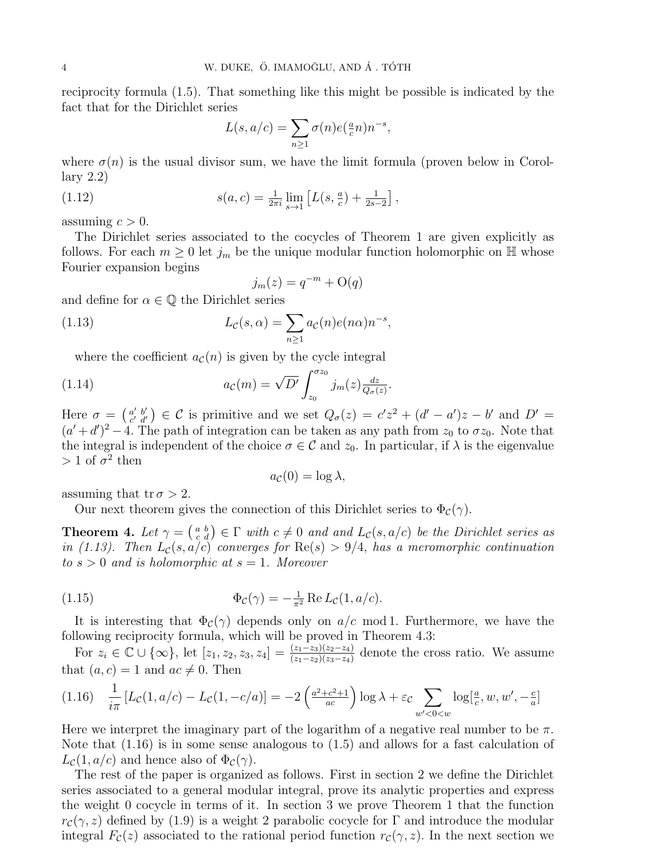reciprocity formula (1.5). That something like this might be possible is indicated by the fact that for the Dirichlet series

$$
L(s, a/c) = \sum_{n \ge 1} \sigma(n) e(\frac{a}{c}n) n^{-s},
$$

where  $\sigma(n)$  is the usual divisor sum, we have the limit formula (proven below in Corollary 2.2)

(1.12) 
$$
s(a,c) = \frac{1}{2\pi i} \lim_{s \to 1} \left[ L(s, \frac{a}{c}) + \frac{1}{2s-2} \right],
$$

assuming  $c > 0$ .

The Dirichlet series associated to the cocycles of Theorem 1 are given explicitly as follows. For each  $m \geq 0$  let  $j_m$  be the unique modular function holomorphic on H whose Fourier expansion begins

$$
j_m(z) = q^{-m} + \mathcal{O}(q)
$$

and define for  $\alpha \in \mathbb{Q}$  the Dirichlet series

(1.13) 
$$
L_{\mathcal{C}}(s,\alpha) = \sum_{n\geq 1} a_{\mathcal{C}}(n) e(n\alpha) n^{-s},
$$

where the coefficient  $a_{\mathcal{C}}(n)$  is given by the cycle integral

(1.14) 
$$
a_{\mathcal{C}}(m) = \sqrt{D'} \int_{z_0}^{\sigma z_0} j_m(z) \frac{dz}{Q_{\sigma}(z)}
$$

Here  $\sigma = \begin{pmatrix} a' & b' \\ c' & d' \end{pmatrix}$  $(a' \ b' \ a' \ d') \in C$  is primitive and we set  $Q_{\sigma}(z) = c'z^2 + (d'-a')z - b'$  and  $D' =$  $(a'+d')^2-4$ . The path of integration can be taken as any path from  $z_0$  to  $\sigma z_0$ . Note that the integral is independent of the choice  $\sigma \in \mathcal{C}$  and  $z_0$ . In particular, if  $\lambda$  is the eigenvalue  $> 1$  of  $\sigma^2$  then

.

$$
a_{\mathcal{C}}(0) = \log \lambda,
$$

assuming that  $tr \sigma > 2$ .

Our next theorem gives the connection of this Dirichlet series to  $\Phi_c(\gamma)$ .

**Theorem 4.** Let  $\gamma = \begin{pmatrix} a & b \\ c & d \end{pmatrix} \in \Gamma$  with  $c \neq 0$  and and  $L_c(s, a/c)$  be the Dirichlet series as in (1.13). Then  $L_c(s, a/c)$  converges for  $\text{Re}(s) > 9/4$ , has a meromorphic continuation to  $s > 0$  and is holomorphic at  $s = 1$ . Moreover

(1.15) 
$$
\Phi_{\mathcal{C}}(\gamma) = -\frac{1}{\pi^2} \operatorname{Re} L_{\mathcal{C}}(1, a/c).
$$

It is interesting that  $\Phi_c(\gamma)$  depends only on  $a/c$  mod 1. Furthermore, we have the following reciprocity formula, which will be proved in Theorem 4.3:

For  $z_i \in \mathbb{C} \cup \{\infty\}$ , let  $[z_1, z_2, z_3, z_4] = \frac{(z_1-z_3)(z_2-z_4)}{(z_1-z_2)(z_3-z_4)}$  denote the cross ratio. We assume that  $(a, c) = 1$  and  $ac \neq 0$ . Then

$$
(1.16)\quad \frac{1}{i\pi} \left[ L_{\mathcal{C}}(1, a/c) - L_{\mathcal{C}}(1, -c/a) \right] = -2 \left( \frac{a^2 + c^2 + 1}{ac} \right) \log \lambda + \varepsilon_c \sum_{w' < 0 < w} \log[\frac{a}{c}, w, w', -\frac{c}{a}]
$$

Here we interpret the imaginary part of the logarithm of a negative real number to be  $\pi$ . Note that (1.16) is in some sense analogous to (1.5) and allows for a fast calculation of  $L_{\mathcal{C}}(1, a/c)$  and hence also of  $\Phi_{\mathcal{C}}(\gamma)$ .

The rest of the paper is organized as follows. First in section 2 we define the Dirichlet series associated to a general modular integral, prove its analytic properties and express the weight 0 cocycle in terms of it. In section 3 we prove Theorem 1 that the function  $r_c(\gamma, z)$  defined by (1.9) is a weight 2 parabolic cocycle for  $\Gamma$  and introduce the modular integral  $F_c(z)$  associated to the rational period function  $r_c(\gamma, z)$ . In the next section we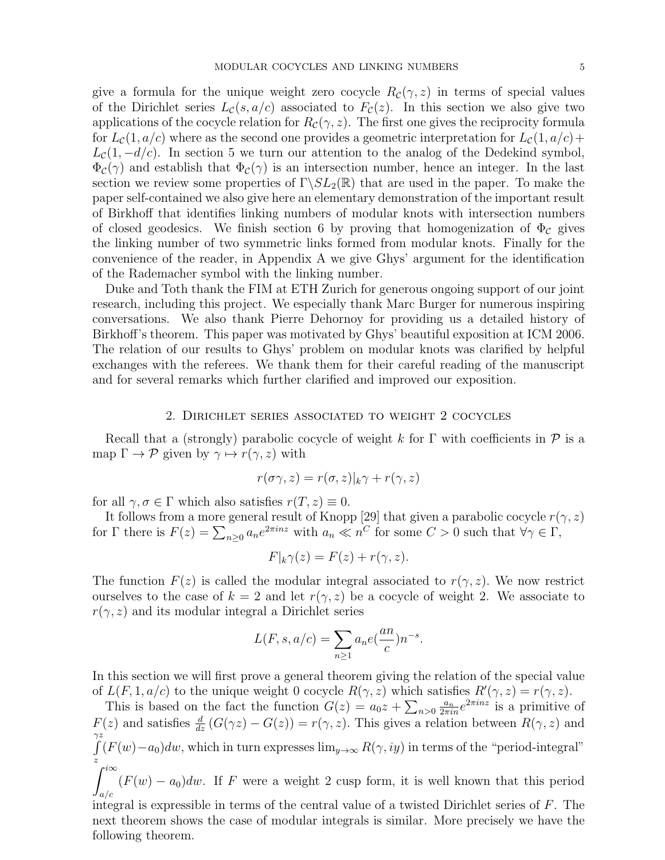give a formula for the unique weight zero cocycle  $R_{\mathcal{C}}(\gamma, z)$  in terms of special values of the Dirichlet series  $L_c(s, a/c)$  associated to  $F_c(z)$ . In this section we also give two applications of the cocycle relation for  $R_{\mathcal{C}}(\gamma, z)$ . The first one gives the reciprocity formula for  $L_{\mathcal{C}}(1, a/c)$  where as the second one provides a geometric interpretation for  $L_{\mathcal{C}}(1, a/c)+$  $L_c(1, -d/c)$ . In section 5 we turn our attention to the analog of the Dedekind symbol,  $\Phi_c(\gamma)$  and establish that  $\Phi_c(\gamma)$  is an intersection number, hence an integer. In the last section we review some properties of  $\Gamma \backslash SL_2(\mathbb{R})$  that are used in the paper. To make the paper self-contained we also give here an elementary demonstration of the important result of Birkhoff that identifies linking numbers of modular knots with intersection numbers of closed geodesics. We finish section 6 by proving that homogenization of  $\Phi_c$  gives the linking number of two symmetric links formed from modular knots. Finally for the convenience of the reader, in Appendix A we give Ghys' argument for the identification of the Rademacher symbol with the linking number.

Duke and Toth thank the FIM at ETH Zurich for generous ongoing support of our joint research, including this project. We especially thank Marc Burger for numerous inspiring conversations. We also thank Pierre Dehornoy for providing us a detailed history of Birkhoff's theorem. This paper was motivated by Ghys' beautiful exposition at ICM 2006. The relation of our results to Ghys' problem on modular knots was clarified by helpful exchanges with the referees. We thank them for their careful reading of the manuscript and for several remarks which further clarified and improved our exposition.

#### 2. Dirichlet series associated to weight 2 cocycles

Recall that a (strongly) parabolic cocycle of weight k for  $\Gamma$  with coefficients in  $\mathcal P$  is a map  $\Gamma \to \mathcal{P}$  given by  $\gamma \mapsto r(\gamma, z)$  with

$$
r(\sigma\gamma,z)=r(\sigma,z)|_k\gamma+r(\gamma,z)
$$

for all  $\gamma, \sigma \in \Gamma$  which also satisfies  $r(T, z) \equiv 0$ .

It follows from a more general result of Knopp [29] that given a parabolic cocycle  $r(\gamma, z)$ for  $\Gamma$  there is  $F(z) = \sum_{n\geq 0} a_n e^{2\pi i n z}$  with  $a_n \ll n^C$  for some  $C > 0$  such that  $\forall \gamma \in \Gamma$ ,

$$
F|_{k}\gamma(z) = F(z) + r(\gamma, z).
$$

The function  $F(z)$  is called the modular integral associated to  $r(\gamma, z)$ . We now restrict ourselves to the case of  $k = 2$  and let  $r(\gamma, z)$  be a cocycle of weight 2. We associate to  $r(\gamma, z)$  and its modular integral a Dirichlet series

$$
L(F, s, a/c) = \sum_{n \ge 1} a_n e(\frac{an}{c}) n^{-s}.
$$

In this section we will first prove a general theorem giving the relation of the special value of  $L(F, 1, a/c)$  to the unique weight 0 cocycle  $R(\gamma, z)$  which satisfies  $R'(\gamma, z) = r(\gamma, z)$ .

This is based on the fact the function  $G(z) = a_0 z + \sum_{n>0} \frac{a_n}{2\pi i n} e^{2\pi i n z}$  is a primitive of  $F(z)$  and satisfies  $\frac{d}{dz} (G(\gamma z) - G(z)) = r(\gamma, z)$ . This gives a relation between  $R(\gamma, z)$  and  $\gamma z$ R z  $(F(w)-a_0)dw$ , which in turn expresses  $\lim_{y\to\infty} R(\gamma, iy)$  in terms of the "period-integral"  $\int_0^{i\infty}$  $(F(w) - a_0)dw$ . If F were a weight 2 cusp form, it is well known that this period

a/c integral is expressible in terms of the central value of a twisted Dirichlet series of F. The next theorem shows the case of modular integrals is similar. More precisely we have the following theorem.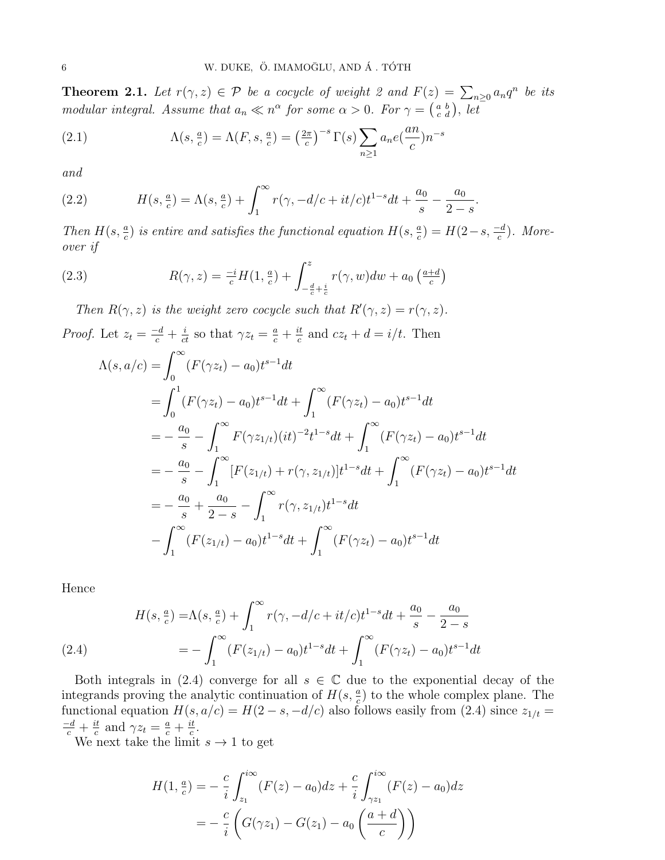**Theorem 2.1.** Let  $r(\gamma, z) \in \mathcal{P}$  be a cocycle of weight 2 and  $F(z) = \sum_{n\geq 0} a_n q^n$  be its modular integral. Assume that  $a_n \ll n^{\alpha}$  for some  $\alpha > 0$ . For  $\gamma = \begin{pmatrix} a & b \\ c & d \end{pmatrix}$ , let

(2.1) 
$$
\Lambda(s, \frac{a}{c}) = \Lambda(F, s, \frac{a}{c}) = \left(\frac{2\pi}{c}\right)^{-s} \Gamma(s) \sum_{n \ge 1} a_n e\left(\frac{an}{c}\right) n^{-s}
$$

and

(2.2) 
$$
H(s, \frac{a}{c}) = \Lambda(s, \frac{a}{c}) + \int_1^{\infty} r(\gamma, -d/c + it/c)t^{1-s}dt + \frac{a_0}{s} - \frac{a_0}{2-s}.
$$

Then  $H(s, \frac{a}{c})$  is entire and satisfies the functional equation  $H(s, \frac{a}{c}) = H(2-s, \frac{-d}{c})$ . Moreover if

(2.3) 
$$
R(\gamma, z) = \frac{-i}{c} H(1, \frac{a}{c}) + \int_{-\frac{d}{c} + \frac{i}{c}}^{z} r(\gamma, w) dw + a_0 \left( \frac{a+d}{c} \right)
$$

Then  $R(\gamma, z)$  is the weight zero cocycle such that  $R'(\gamma, z) = r(\gamma, z)$ .

*Proof.* Let  $z_t = \frac{-d}{c} + \frac{i}{ct}$  so that  $\gamma z_t = \frac{a}{c} + \frac{it}{c}$  $\frac{dt}{c}$  and  $cz_t + d = i/t$ . Then

$$
\Lambda(s, a/c) = \int_0^{\infty} (F(\gamma z_t) - a_0) t^{s-1} dt
$$
  
\n
$$
= \int_0^1 (F(\gamma z_t) - a_0) t^{s-1} dt + \int_1^{\infty} (F(\gamma z_t) - a_0) t^{s-1} dt
$$
  
\n
$$
= -\frac{a_0}{s} - \int_1^{\infty} F(\gamma z_{1/t})(it)^{-2} t^{1-s} dt + \int_1^{\infty} (F(\gamma z_t) - a_0) t^{s-1} dt
$$
  
\n
$$
= -\frac{a_0}{s} - \int_1^{\infty} [F(z_{1/t}) + r(\gamma, z_{1/t})] t^{1-s} dt + \int_1^{\infty} (F(\gamma z_t) - a_0) t^{s-1} dt
$$
  
\n
$$
= -\frac{a_0}{s} + \frac{a_0}{2-s} - \int_1^{\infty} r(\gamma, z_{1/t}) t^{1-s} dt
$$
  
\n
$$
- \int_1^{\infty} (F(z_{1/t}) - a_0) t^{1-s} dt + \int_1^{\infty} (F(\gamma z_t) - a_0) t^{s-1} dt
$$

Hence

(2.4) 
$$
H(s, \frac{a}{c}) = \Lambda(s, \frac{a}{c}) + \int_1^{\infty} r(\gamma, -d/c + it/c)t^{1-s}dt + \frac{a_0}{s} - \frac{a_0}{2-s}
$$

$$
= -\int_1^{\infty} (F(z_{1/t}) - a_0)t^{1-s}dt + \int_1^{\infty} (F(\gamma z_t) - a_0)t^{s-1}dt
$$

Both integrals in (2.4) converge for all  $s \in \mathbb{C}$  due to the exponential decay of the integrands proving the analytic continuation of  $H(s, \frac{a}{c})$  to the whole complex plane. The functional equation  $H(s, a/c) = H(2 - s, -d/c)$  also follows easily from (2.4) since  $z_{1/t} =$  $\frac{-d}{c} + \frac{it}{c}$  $\frac{it}{c}$  and  $\gamma z_t = \frac{a}{c} + \frac{it}{c}$  $\frac{it}{c}$ .

We next take the limit  $s \to 1$  to get

$$
H(1, \frac{a}{c}) = -\frac{c}{i} \int_{z_1}^{i\infty} (F(z) - a_0) dz + \frac{c}{i} \int_{\gamma z_1}^{i\infty} (F(z) - a_0) dz
$$
  
= 
$$
-\frac{c}{i} \left( G(\gamma z_1) - G(z_1) - a_0 \left( \frac{a+d}{c} \right) \right)
$$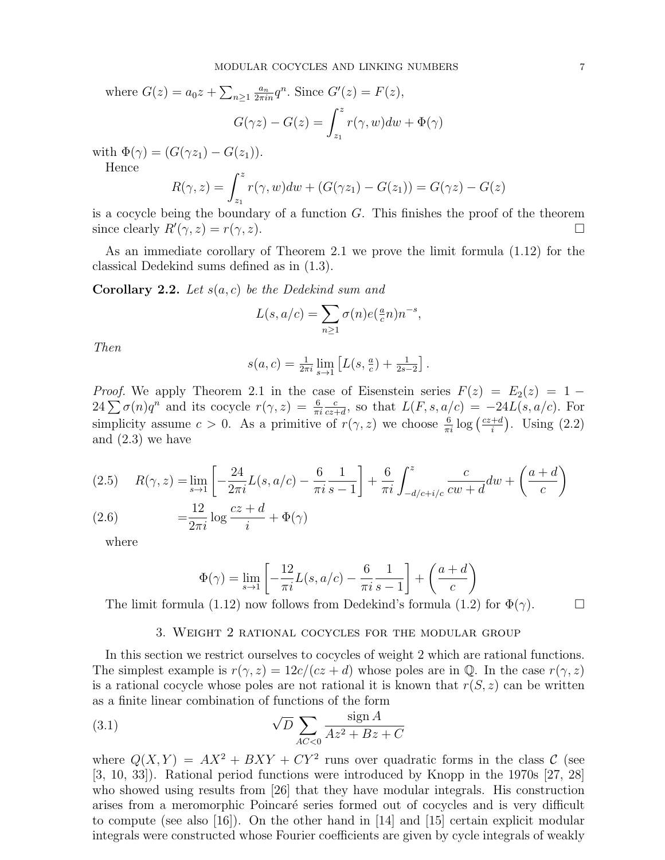where  $G(z) = a_0 z + \sum_{n \geq 1} \frac{a_n}{2 \pi i n} q^n$ . Since  $G'(z) = F(z)$ ,

$$
G(\gamma z) - G(z) = \int_{z_1}^{z} r(\gamma, w) dw + \Phi(\gamma)
$$

with  $\Phi(\gamma) = (G(\gamma z_1) - G(z_1)).$ 

Hence

$$
R(\gamma, z) = \int_{z_1}^{z} r(\gamma, w) dw + (G(\gamma z_1) - G(z_1)) = G(\gamma z) - G(z)
$$

is a cocycle being the boundary of a function  $G$ . This finishes the proof of the theorem since clearly  $R'(\gamma, z) = r(\gamma, z)$ .

As an immediate corollary of Theorem 2.1 we prove the limit formula (1.12) for the classical Dedekind sums defined as in (1.3).

**Corollary 2.2.** Let  $s(a, c)$  be the Dedekind sum and

$$
L(s, a/c) = \sum_{n \ge 1} \sigma(n) e(\frac{a}{c}n) n^{-s},
$$

Then

$$
s(a, c) = \frac{1}{2\pi i} \lim_{s \to 1} \left[ L(s, \frac{a}{c}) + \frac{1}{2s - 2} \right].
$$

*Proof.* We apply Theorem 2.1 in the case of Eisenstein series  $F(z) = E_2(z) = 1 24\sum \sigma(n)q^n$  and its cocycle  $r(\gamma, z) = \frac{6}{\pi i}$ c  $\frac{c}{cz+d}$ , so that  $L(F, s, a/c) = -24L(s, a/c)$ . For simplicity assume  $c > 0$ . As a primitive of  $r(\gamma, z)$  we choose  $\frac{6}{\pi i} \log \left( \frac{cz+d}{i} \right)$  $\frac{+d}{i}$ . Using  $(2.2)$ and (2.3) we have

(2.5) 
$$
R(\gamma, z) = \lim_{s \to 1} \left[ -\frac{24}{2\pi i} L(s, a/c) - \frac{6}{\pi i} \frac{1}{s - 1} \right] + \frac{6}{\pi i} \int_{-d/c + i/c}^{z} \frac{c}{cw + d} dw + \left( \frac{a + d}{c} \right)
$$
  
(2.6) 
$$
= \frac{12}{2} \log \frac{cz + d}{dz} + \Phi(\gamma)
$$

where

 $2\pi i$ 

$$
\Phi(\gamma) = \lim_{s \to 1} \left[ -\frac{12}{\pi i} L(s, a/c) - \frac{6}{\pi i} \frac{1}{s - 1} \right] + \left( \frac{a + d}{c} \right)
$$

The limit formula (1.12) now follows from Dedekind's formula (1.2) for  $\Phi(\gamma)$ .

### 3. Weight 2 rational cocycles for the modular group

In this section we restrict ourselves to cocycles of weight 2 which are rational functions. The simplest example is  $r(\gamma, z) = 12c/(cz + d)$  whose poles are in Q. In the case  $r(\gamma, z)$ is a rational cocycle whose poles are not rational it is known that  $r(S, z)$  can be written as a finite linear combination of functions of the form

(3.1) 
$$
\sqrt{D} \sum_{AC < 0} \frac{\operatorname{sign} A}{Az^2 + Bz + C}
$$

i

where  $Q(X,Y) = AX^2 + BXY + CY^2$  runs over quadratic forms in the class C (see [3, 10, 33]). Rational period functions were introduced by Knopp in the 1970s [27, 28] who showed using results from [26] that they have modular integrals. His construction arises from a meromorphic Poincaré series formed out of cocycles and is very difficult to compute (see also [16]). On the other hand in [14] and [15] certain explicit modular integrals were constructed whose Fourier coefficients are given by cycle integrals of weakly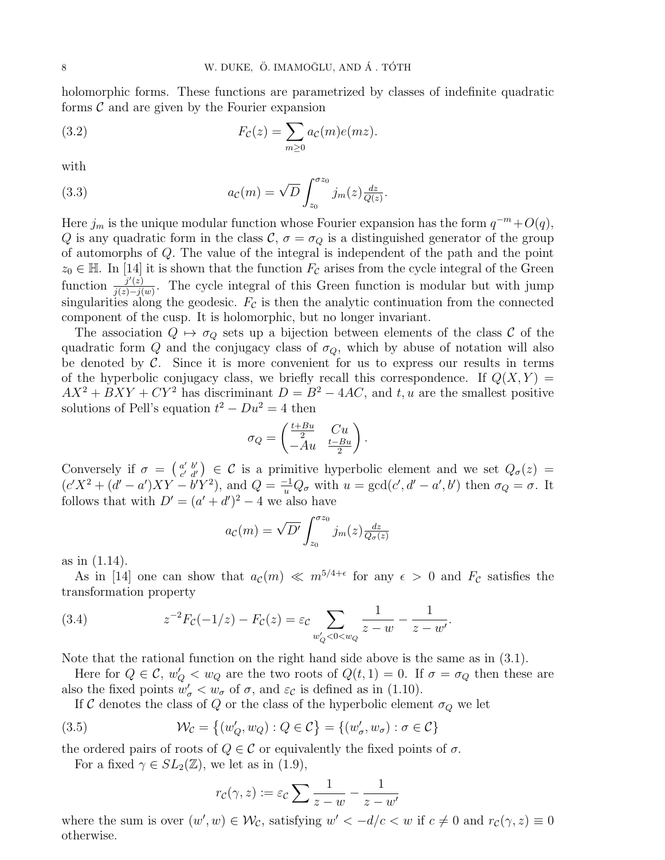holomorphic forms. These functions are parametrized by classes of indefinite quadratic forms  $\mathcal C$  and are given by the Fourier expansion

(3.2) 
$$
F_{\mathcal{C}}(z) = \sum_{m\geq 0} a_{\mathcal{C}}(m)e(mz).
$$

with

(3.3) 
$$
a_{\mathcal{C}}(m) = \sqrt{D} \int_{z_0}^{\sigma z_0} j_m(z) \frac{dz}{Q(z)}.
$$

Here  $j_m$  is the unique modular function whose Fourier expansion has the form  $q^{-m}+O(q)$ , Q is any quadratic form in the class  $\mathcal{C}, \sigma = \sigma_Q$  is a distinguished generator of the group of automorphs of Q. The value of the integral is independent of the path and the point  $z_0 \in \mathbb{H}$ . In [14] it is shown that the function  $F_{\mathcal{C}}$  arises from the cycle integral of the Green function  $\frac{j'(z)}{j(z)-j(z)}$  $\frac{j'(z)}{j(z)-j(w)}$ . The cycle integral of this Green function is modular but with jump singularities along the geodesic.  $F_c$  is then the analytic continuation from the connected component of the cusp. It is holomorphic, but no longer invariant.

The association  $Q \mapsto \sigma_Q$  sets up a bijection between elements of the class C of the quadratic form Q and the conjugacy class of  $\sigma_Q$ , which by abuse of notation will also be denoted by  $\mathcal C$ . Since it is more convenient for us to express our results in terms of the hyperbolic conjugacy class, we briefly recall this correspondence. If  $Q(X, Y) =$  $AX^{2} + BXY + CY^{2}$  has discriminant  $D = B^{2} - 4AC$ , and t, u are the smallest positive solutions of Pell's equation  $t^2 - Du^2 = 4$  then

$$
\sigma_Q = \begin{pmatrix} \frac{t+Bu}{2} & Cu \\ -Au & \frac{t-Bu}{2} \end{pmatrix}.
$$

Conversely if  $\sigma = \begin{pmatrix} a' & b' \\ c' & d' \end{pmatrix}$  $\mathcal{C} \atop {\mathcal{C}}' \mathcal{d}'}$   $\in \mathcal{C}$  is a primitive hyperbolic element and we set  $Q_{\sigma}(z)$  =  $(c'X^2 + (d'-a')XY - b'Y^2)$ , and  $Q = \frac{-1}{u}Q_{\sigma}$  with  $u = \gcd(c', d' - a', b')$  then  $\sigma_Q = \sigma$ . It follows that with  $D' = (a' + d')^2 - 4$  we also have

$$
a_{\mathcal{C}}(m) = \sqrt{D'} \int_{z_0}^{\sigma z_0} j_m(z) \frac{dz}{Q_{\sigma}(z)}
$$

as in (1.14).

As in [14] one can show that  $a_{\mathcal{C}}(m) \ll m^{5/4+\epsilon}$  for any  $\epsilon > 0$  and  $F_{\mathcal{C}}$  satisfies the transformation property

(3.4) 
$$
z^{-2}F_{\mathcal{C}}(-1/z) - F_{\mathcal{C}}(z) = \varepsilon_{\mathcal{C}} \sum_{w'_Q < 0 < w_Q} \frac{1}{z - w} - \frac{1}{z - w'}.
$$

Note that the rational function on the right hand side above is the same as in (3.1).

Here for  $Q \in \mathcal{C}$ ,  $w'_Q < w_Q$  are the two roots of  $Q(t, 1) = 0$ . If  $\sigma = \sigma_Q$  then these are also the fixed points  $w'_{\sigma} < w_{\sigma}$  of  $\sigma$ , and  $\varepsilon_{\mathcal{C}}$  is defined as in (1.10).

If C denotes the class of Q or the class of the hyperbolic element  $\sigma_Q$  we let

(3.5) 
$$
\mathcal{W}_{\mathcal{C}} = \left\{ (w'_Q, w_Q) : Q \in \mathcal{C} \right\} = \left\{ (w'_\sigma, w_\sigma) : \sigma \in \mathcal{C} \right\}
$$

the ordered pairs of roots of  $Q \in \mathcal{C}$  or equivalently the fixed points of  $\sigma$ .

For a fixed  $\gamma \in SL_2(\mathbb{Z})$ , we let as in (1.9),

$$
r_{\mathcal{C}}(\gamma, z) := \varepsilon_{\mathcal{C}} \sum \frac{1}{z - w} - \frac{1}{z - w'}
$$

where the sum is over  $(w', w) \in \mathcal{W}_{\mathcal{C}}$ , satisfying  $w' < -d/c < w$  if  $c \neq 0$  and  $r_c(\gamma, z) \equiv 0$ otherwise.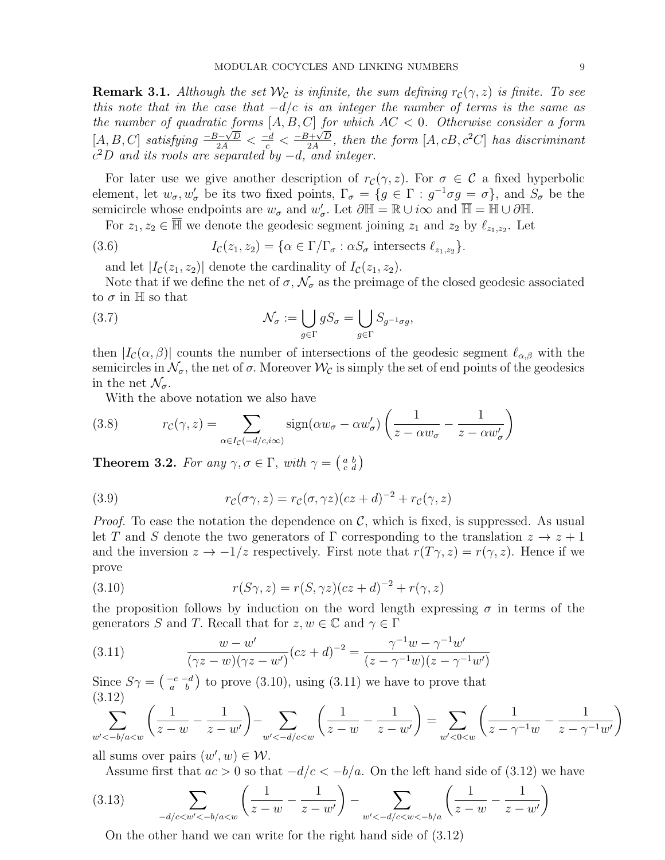**Remark 3.1.** Although the set  $\mathcal{W}_{\mathcal{C}}$  is infinite, the sum defining  $r_{\mathcal{C}}(\gamma, z)$  is finite. To see this note that in the case that  $-d/c$  is an integer the number of terms is the same as the number of quadratic forms  $[A, B, C]$  for which  $AC < 0$ . Otherwise consider a form [A, B, C] satisfying  $\frac{-B-\sqrt{D}}{2A} < \frac{-d}{c} < \frac{-B+\sqrt{D}}{2A}$  $\frac{d+\sqrt{D}}{2A}$ , then the form  $[A, cB, c^2C]$  has discriminant  $c^2D$  and its roots are separated by  $-d$ , and integer.

For later use we give another description of  $r_c(\gamma, z)$ . For  $\sigma \in \mathcal{C}$  a fixed hyperbolic element, let  $w_{\sigma}, w_{\sigma}'$  be its two fixed points,  $\Gamma_{\sigma} = \{g \in \Gamma : g^{-1} \sigma g = \sigma\}$ , and  $S_{\sigma}$  be the semicircle whose endpoints are  $w_{\sigma}$  and  $w'_{\sigma}$ . Let  $\partial \mathbb{H} = \mathbb{R} \cup i\infty$  and  $\overline{\mathbb{H}} = \mathbb{H} \cup \partial \mathbb{H}$ .

For  $z_1, z_2 \in \overline{\mathbb{H}}$  we denote the geodesic segment joining  $z_1$  and  $z_2$  by  $\ell_{z_1,z_2}$ . Let

(3.6) 
$$
I_{\mathcal{C}}(z_1, z_2) = \{ \alpha \in \Gamma / \Gamma_{\sigma} : \alpha S_{\sigma} \text{ intersects } \ell_{z_1, z_2} \}.
$$

and let  $|I_{\mathcal{C}}(z_1, z_2)|$  denote the cardinality of  $I_{\mathcal{C}}(z_1, z_2)$ .

Note that if we define the net of  $\sigma$ ,  $\mathcal{N}_{\sigma}$  as the preimage of the closed geodesic associated to  $\sigma$  in H so that

(3.7) 
$$
\mathcal{N}_{\sigma} := \bigcup_{g \in \Gamma} g S_{\sigma} = \bigcup_{g \in \Gamma} S_{g^{-1} \sigma g},
$$

then  $|I_{\mathcal{C}}(\alpha,\beta)|$  counts the number of intersections of the geodesic segment  $\ell_{\alpha,\beta}$  with the semicircles in  $\mathcal{N}_{\sigma}$ , the net of  $\sigma$ . Moreover  $\mathcal{W}_{\mathcal{C}}$  is simply the set of end points of the geodesics in the net  $\mathcal{N}_{\sigma}$ .

With the above notation we also have

(3.8) 
$$
r_{\mathcal{C}}(\gamma, z) = \sum_{\alpha \in I_{\mathcal{C}}(-d/c, i\infty)} sign(\alpha w_{\sigma} - \alpha w_{\sigma}') \left( \frac{1}{z - \alpha w_{\sigma}} - \frac{1}{z - \alpha w_{\sigma}'} \right)
$$

**Theorem 3.2.** For any  $\gamma, \sigma \in \Gamma$ , with  $\gamma = \begin{pmatrix} a & b \\ c & d \end{pmatrix}$ 

(3.9) 
$$
r_{\mathcal{C}}(\sigma\gamma,z) = r_{\mathcal{C}}(\sigma,\gamma z)(cz+d)^{-2} + r_{\mathcal{C}}(\gamma,z)
$$

*Proof.* To ease the notation the dependence on  $\mathcal{C}$ , which is fixed, is suppressed. As usual let T and S denote the two generators of  $\Gamma$  corresponding to the translation  $z \to z + 1$ and the inversion  $z \to -1/z$  respectively. First note that  $r(T\gamma, z) = r(\gamma, z)$ . Hence if we prove

(3.10) 
$$
r(S\gamma, z) = r(S, \gamma z)(cz + d)^{-2} + r(\gamma, z)
$$

the proposition follows by induction on the word length expressing  $\sigma$  in terms of the generators S and T. Recall that for  $z, w \in \mathbb{C}$  and  $\gamma \in \Gamma$ 

(3.11) 
$$
\frac{w - w'}{(\gamma z - w)(\gamma z - w')} (cz + d)^{-2} = \frac{\gamma^{-1}w - \gamma^{-1}w'}{(z - \gamma^{-1}w)(z - \gamma^{-1}w')}
$$

Since  $S\gamma = \begin{pmatrix} -c & -d \\ a & b \end{pmatrix}$  to prove (3.10), using (3.11) we have to prove that (3.12)

$$
\sum_{w' < -b/a < w} \left( \frac{1}{z - w} - \frac{1}{z - w'} \right) - \sum_{w' < -d/c < w} \left( \frac{1}{z - w} - \frac{1}{z - w'} \right) = \sum_{w' < 0 < w} \left( \frac{1}{z - \gamma^{-1} w} - \frac{1}{z - \gamma^{-1} w'} \right)
$$

all sums over pairs  $(w', w) \in \mathcal{W}$ .

Assume first that  $ac > 0$  so that  $-d/c < -b/a$ . On the left hand side of (3.12) we have

$$
(3.13) \qquad \qquad \sum_{-d/c < w' < -b/a < w} \left( \frac{1}{z - w} - \frac{1}{z - w'} \right) - \sum_{w' < -d/c < w < -b/a} \left( \frac{1}{z - w} - \frac{1}{z - w'} \right)
$$

On the other hand we can write for the right hand side of (3.12)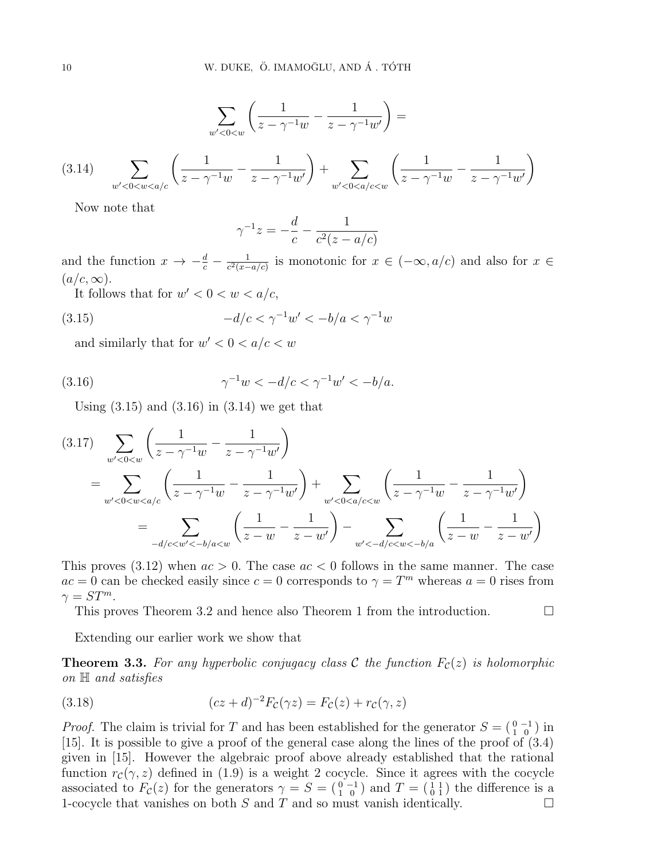$$
\sum_{w' < 0 < w} \left( \frac{1}{z - \gamma^{-1} w} - \frac{1}{z - \gamma^{-1} w'} \right) =
$$
\n
$$
(3.14) \quad \sum_{w' < 0 < w < a/c} \left( \frac{1}{z - \gamma^{-1} w} - \frac{1}{z - \gamma^{-1} w'} \right) + \sum_{w' < 0 < a/c < w} \left( \frac{1}{z - \gamma^{-1} w} - \frac{1}{z - \gamma^{-1} w'} \right)
$$

Now note that

$$
\gamma^{-1} z = -\frac{d}{c} - \frac{1}{c^2(z - a/c)}
$$

and the function  $x \to -\frac{d}{c} - \frac{1}{c^2(x-1)}$  $\frac{1}{c^2(x-a/c)}$  is monotonic for  $x \in (-\infty, a/c)$  and also for  $x \in$  $(a/c, \infty).$ 

It follows that for  $w' < 0 < w < a/c$ ,

(3.15) 
$$
-d/c < \gamma^{-1}w' < -b/a < \gamma^{-1}w
$$

and similarly that for  $w' < 0 < a/c < w$ 

(3.16) 
$$
\gamma^{-1}w < -d/c < \gamma^{-1}w' < -b/a.
$$

Using  $(3.15)$  and  $(3.16)$  in  $(3.14)$  we get that

$$
(3.17) \sum_{w' < 0 < w} \left( \frac{1}{z - \gamma^{-1}w} - \frac{1}{z - \gamma^{-1}w'} \right)
$$
\n
$$
= \sum_{w' < 0 < w < a/c} \left( \frac{1}{z - \gamma^{-1}w} - \frac{1}{z - \gamma^{-1}w'} \right) + \sum_{w' < 0 < a/c < w} \left( \frac{1}{z - \gamma^{-1}w} - \frac{1}{z - \gamma^{-1}w'} \right)
$$
\n
$$
= \sum_{-d/c < w' < -b/a < w} \left( \frac{1}{z - w} - \frac{1}{z - w'} \right) - \sum_{w' < -d/c < w < -b/a} \left( \frac{1}{z - w} - \frac{1}{z - w'} \right)
$$

This proves  $(3.12)$  when  $ac > 0$ . The case  $ac < 0$  follows in the same manner. The case  $ac = 0$  can be checked easily since  $c = 0$  corresponds to  $\gamma = T^m$  whereas  $a = 0$  rises from  $\gamma = ST^m$ .

This proves Theorem 3.2 and hence also Theorem 1 from the introduction.

Extending our earlier work we show that

**Theorem 3.3.** For any hyperbolic conjugacy class C the function  $F_c(z)$  is holomorphic on H and satisfies

(3.18) 
$$
(cz+d)^{-2}F_c(\gamma z) = F_c(z) + r_c(\gamma, z)
$$

*Proof.* The claim is trivial for T and has been established for the generator  $S = \begin{pmatrix} 0 & -1 \\ 1 & 0 \end{pmatrix}$  in [15]. It is possible to give a proof of the general case along the lines of the proof of (3.4) given in [15]. However the algebraic proof above already established that the rational function  $r_c(\gamma, z)$  defined in (1.9) is a weight 2 cocycle. Since it agrees with the cocycle associated to  $F_{\mathcal{C}}(z)$  for the generators  $\gamma = S = \begin{pmatrix} 0 & -1 \\ 1 & 0 \end{pmatrix}$  and  $T = \begin{pmatrix} 1 & 1 \\ 0 & 1 \end{pmatrix}$  the difference is a 1-cocycle that vanishes on both  $S$  and  $T$  and so must vanish identically.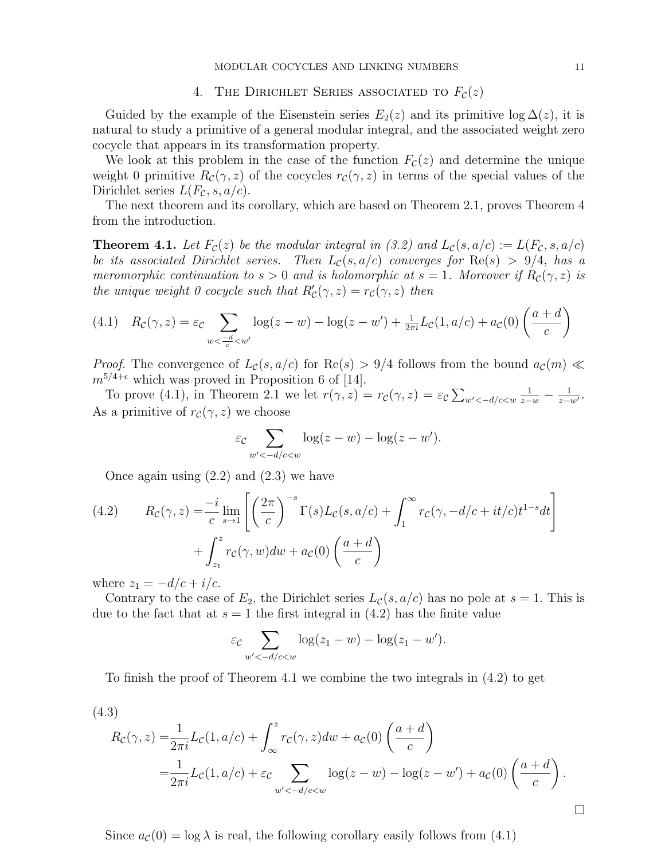# 4. THE DIRICHLET SERIES ASSOCIATED TO  $F_c(z)$

Guided by the example of the Eisenstein series  $E_2(z)$  and its primitive log  $\Delta(z)$ , it is natural to study a primitive of a general modular integral, and the associated weight zero cocycle that appears in its transformation property.

We look at this problem in the case of the function  $F_c(z)$  and determine the unique weight 0 primitive  $R_c(\gamma, z)$  of the cocycles  $r_c(\gamma, z)$  in terms of the special values of the Dirichlet series  $L(F_{\mathcal{C}}, s, a/c)$ .

The next theorem and its corollary, which are based on Theorem 2.1, proves Theorem 4 from the introduction.

**Theorem 4.1.** Let  $F_c(z)$  be the modular integral in (3.2) and  $L_c(s, a/c) := L(F_c, s, a/c)$ be its associated Dirichlet series. Then  $L_c(s, a/c)$  converges for  $\text{Re}(s) > 9/4$ , has a meromorphic continuation to  $s > 0$  and is holomorphic at  $s = 1$ . Moreover if  $R_c(\gamma, z)$  is the unique weight 0 cocycle such that  $R'_{\mathcal{C}}(\gamma, z) = r_{\mathcal{C}}(\gamma, z)$  then

$$
(4.1) \quad R_{\mathcal{C}}(\gamma, z) = \varepsilon_{\mathcal{C}} \sum_{w < \frac{-d}{c} < w'} \log(z - w) - \log(z - w') + \frac{1}{2\pi i} L_{\mathcal{C}}(1, a/c) + a_{\mathcal{C}}(0) \left(\frac{a + d}{c}\right)
$$

*Proof.* The convergence of  $L_c(s, a/c)$  for  $\text{Re}(s) > 9/4$  follows from the bound  $a_c(m) \ll$  $m^{5/4+\epsilon}$  which was proved in Proposition 6 of [14].

To prove (4.1), in Theorem 2.1 we let  $r(\gamma, z) = r_c(\gamma, z) = \varepsilon_c \sum_{w' < -d/c < w} \frac{1}{z-w} - \frac{1}{z-w}$  $\frac{1}{z-w'}$ . As a primitive of  $r_c(\gamma, z)$  we choose

$$
\varepsilon_{\mathcal{C}} \sum_{w' < -d/c < w} \log(z - w) - \log(z - w').
$$

Once again using (2.2) and (2.3) we have

(4.2) 
$$
R_{\mathcal{C}}(\gamma, z) = \frac{-i}{c} \lim_{s \to 1} \left[ \left( \frac{2\pi}{c} \right)^{-s} \Gamma(s) L_{\mathcal{C}}(s, a/c) + \int_{1}^{\infty} r_{\mathcal{C}}(\gamma, -d/c + it/c) t^{1-s} dt \right] + \int_{z_1}^{z} r_{\mathcal{C}}(\gamma, w) dw + a_{\mathcal{C}}(0) \left( \frac{a+d}{c} \right)
$$

where  $z_1 = -d/c + i/c$ .

Contrary to the case of  $E_2$ , the Dirichlet series  $L_c(s, a/c)$  has no pole at  $s = 1$ . This is due to the fact that at  $s = 1$  the first integral in (4.2) has the finite value

$$
\varepsilon_{\mathcal{C}} \sum_{w' < -d/c < w} \log(z_1 - w) - \log(z_1 - w').
$$

To finish the proof of Theorem 4.1 we combine the two integrals in (4.2) to get

$$
(4.3)
$$

$$
R_{\mathcal{C}}(\gamma, z) = \frac{1}{2\pi i} L_{\mathcal{C}}(1, a/c) + \int_{\infty}^{z} r_{\mathcal{C}}(\gamma, z) dw + a_{\mathcal{C}}(0) \left(\frac{a+d}{c}\right)
$$
  
=  $\frac{1}{2\pi i} L_{\mathcal{C}}(1, a/c) + \varepsilon c \sum_{w' < -d/c < w} \log(z - w) - \log(z - w') + a_{\mathcal{C}}(0) \left(\frac{a+d}{c}\right).$ 

Since  $a_{\mathcal{C}}(0) = \log \lambda$  is real, the following corollary easily follows from (4.1)

 $\Box$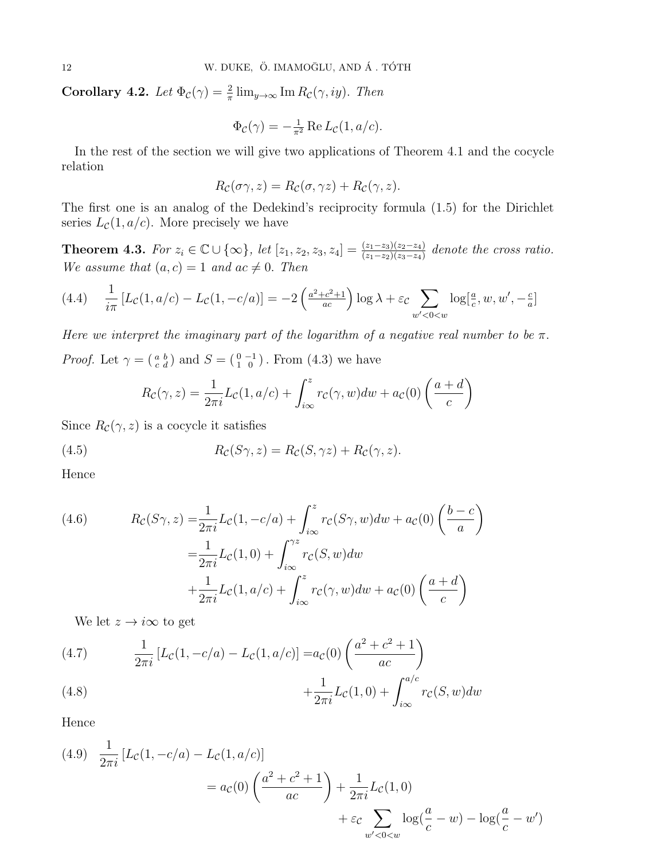**Corollary 4.2.** Let  $\Phi_c(\gamma) = \frac{2}{\pi} \lim_{y \to \infty} \text{Im} R_c(\gamma, iy)$ . Then

$$
\Phi_{\mathcal{C}}(\gamma) = -\frac{1}{\pi^2} \operatorname{Re} L_{\mathcal{C}}(1, a/c).
$$

In the rest of the section we will give two applications of Theorem 4.1 and the cocycle relation

$$
R_{\mathcal{C}}(\sigma \gamma, z) = R_{\mathcal{C}}(\sigma, \gamma z) + R_{\mathcal{C}}(\gamma, z).
$$

The first one is an analog of the Dedekind's reciprocity formula (1.5) for the Dirichlet series  $L_{\mathcal{C}}(1, a/c)$ . More precisely we have

**Theorem 4.3.** For  $z_i \in \mathbb{C} \cup \{\infty\}$ , let  $[z_1, z_2, z_3, z_4] = \frac{(z_1 - z_3)(z_2 - z_4)}{(z_1 - z_2)(z_3 - z_4)}$  denote the cross ratio. We assume that  $(a, c) = 1$  and  $ac \neq 0$ . Then

$$
(4.4) \quad \frac{1}{i\pi} \left[ L_{\mathcal{C}}(1, a/c) - L_{\mathcal{C}}(1, -c/a) \right] = -2 \left( \frac{a^2 + c^2 + 1}{ac} \right) \log \lambda + \varepsilon_c \sum_{w' < 0 < w} \log[\frac{a}{c}, w, w', -\frac{c}{a}]
$$

Here we interpret the imaginary part of the logarithm of a negative real number to be  $\pi$ . *Proof.* Let  $\gamma = \begin{pmatrix} a & b \\ c & d \end{pmatrix}$  and  $S = \begin{pmatrix} 0 & -1 \\ 1 & 0 \end{pmatrix}$ . From (4.3) we have

$$
R_{\mathcal{C}}(\gamma, z) = \frac{1}{2\pi i} L_{\mathcal{C}}(1, a/c) + \int_{i\infty}^{z} r_{\mathcal{C}}(\gamma, w) dw + a_{\mathcal{C}}(0) \left(\frac{a+d}{c}\right)
$$

Since  $R_{\mathcal{C}}(\gamma, z)$  is a cocycle it satisfies

(4.5) 
$$
R_{\mathcal{C}}(S\gamma,z) = R_{\mathcal{C}}(S,\gamma z) + R_{\mathcal{C}}(\gamma,z).
$$

Hence

(4.6) 
$$
R_{\mathcal{C}}(S\gamma, z) = \frac{1}{2\pi i} L_{\mathcal{C}}(1, -c/a) + \int_{i\infty}^{z} r_{\mathcal{C}}(S\gamma, w) dw + a_{\mathcal{C}}(0) \left(\frac{b-c}{a}\right)
$$

$$
= \frac{1}{2\pi i} L_{\mathcal{C}}(1, 0) + \int_{i\infty}^{\gamma z} r_{\mathcal{C}}(S, w) dw + a_{\mathcal{C}}(0) \left(\frac{a+d}{c}\right)
$$

$$
+ \frac{1}{2\pi i} L_{\mathcal{C}}(1, a/c) + \int_{i\infty}^{z} r_{\mathcal{C}}(\gamma, w) dw + a_{\mathcal{C}}(0) \left(\frac{a+d}{c}\right)
$$

We let  $z \rightarrow i\infty$  to get

(4.7) 
$$
\frac{1}{2\pi i} [L_{\mathcal{C}}(1, -c/a) - L_{\mathcal{C}}(1, a/c)] = a_{\mathcal{C}}(0) \left( \frac{a^2 + c^2 + 1}{ac} \right) + \frac{1}{2\pi i} L_{\mathcal{C}}(1, 0) + \int_{i\infty}^{a/c} r_{\mathcal{C}}(S, w) dw
$$

Hence

(4.9) 
$$
\frac{1}{2\pi i} [L_{\mathcal{C}}(1, -c/a) - L_{\mathcal{C}}(1, a/c)]
$$
  
=  $a_{\mathcal{C}}(0) \left( \frac{a^2 + c^2 + 1}{ac} \right) + \frac{1}{2\pi i} L_{\mathcal{C}}(1, 0)$   
+  $\varepsilon_c \sum_{w' < 0 < w} \log(\frac{a}{c} - w) - \log(\frac{a}{c} - w')$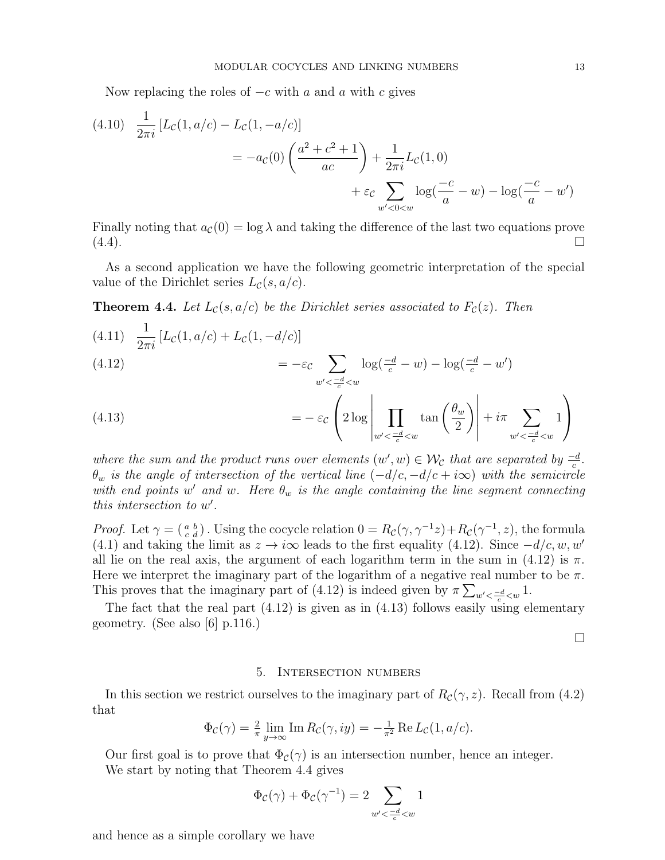Now replacing the roles of  $-c$  with a and a with c gives

(4.10) 
$$
\frac{1}{2\pi i} \left[ L_{\mathcal{C}}(1, a/c) - L_{\mathcal{C}}(1, -a/c) \right]
$$
  
= 
$$
-a_{\mathcal{C}}(0) \left( \frac{a^2 + c^2 + 1}{ac} \right) + \frac{1}{2\pi i} L_{\mathcal{C}}(1, 0)
$$
  
+ 
$$
\varepsilon_c \sum_{w' < 0 < w} \log(\frac{-c}{a} - w) - \log(\frac{-c}{a} - w')
$$

Finally noting that  $a_c(0) = \log \lambda$  and taking the difference of the last two equations prove  $(4.4)$ .

As a second application we have the following geometric interpretation of the special value of the Dirichlet series  $L_c(s, a/c)$ .

**Theorem 4.4.** Let  $L_c(s, a/c)$  be the Dirichlet series associated to  $F_c(z)$ . Then

(4.11) 
$$
\frac{1}{2\pi i} [L_c(1, a/c) + L_c(1, -d/c)]
$$
  
=  $-\varepsilon_c \sum_{w' < \frac{-d}{c} < w} \log(\frac{-d}{c} - w) - \log(\frac{-d}{c} - w')$ 

(4.13) 
$$
= -\varepsilon_{\mathcal{C}} \left( 2 \log \left| \prod_{w' < \frac{-d}{c} < w} \tan \left( \frac{\theta_w}{2} \right) \right| + i \pi \sum_{w' < \frac{-d}{c} < w} 1 \right)
$$

where the sum and the product runs over elements  $(w', w) \in \mathcal{W}_{\mathcal{C}}$  that are separated by  $\frac{-d}{c}$ .  $\theta_w$  is the angle of intersection of the vertical line  $(-d/c, -d/c + i\infty)$  with the semicircle with end points w' and w. Here  $\theta_w$  is the angle containing the line segment connecting this intersection to  $w'$ .

*Proof.* Let  $\gamma = \begin{pmatrix} a & b \\ c & d \end{pmatrix}$ . Using the cocycle relation  $0 = R_c(\gamma, \gamma^{-1}z) + R_c(\gamma^{-1}, z)$ , the formula (4.1) and taking the limit as  $z \to i\infty$  leads to the first equality (4.12). Since  $-d/c, w, w'$ all lie on the real axis, the argument of each logarithm term in the sum in (4.12) is  $\pi$ . Here we interpret the imaginary part of the logarithm of a negative real number to be  $\pi$ . This proves that the imaginary part of (4.12) is indeed given by  $\pi \sum_{w' < \frac{-d}{c} < w} 1$ .

The fact that the real part (4.12) is given as in (4.13) follows easily using elementary geometry. (See also [6] p.116.)

 $\Box$ 

#### 5. Intersection numbers

In this section we restrict ourselves to the imaginary part of  $R_c(\gamma, z)$ . Recall from (4.2) that

$$
\Phi_{\mathcal{C}}(\gamma) = \frac{2}{\pi} \lim_{y \to \infty} \text{Im} \, R_{\mathcal{C}}(\gamma, iy) = -\frac{1}{\pi^2} \text{Re} \, L_{\mathcal{C}}(1, a/c).
$$

Our first goal is to prove that  $\Phi_c(\gamma)$  is an intersection number, hence an integer. We start by noting that Theorem 4.4 gives

$$
\Phi_{\mathcal{C}}(\gamma)+\Phi_{\mathcal{C}}(\gamma^{-1})=2\sum_{w'<\frac{-d}{c}
$$

and hence as a simple corollary we have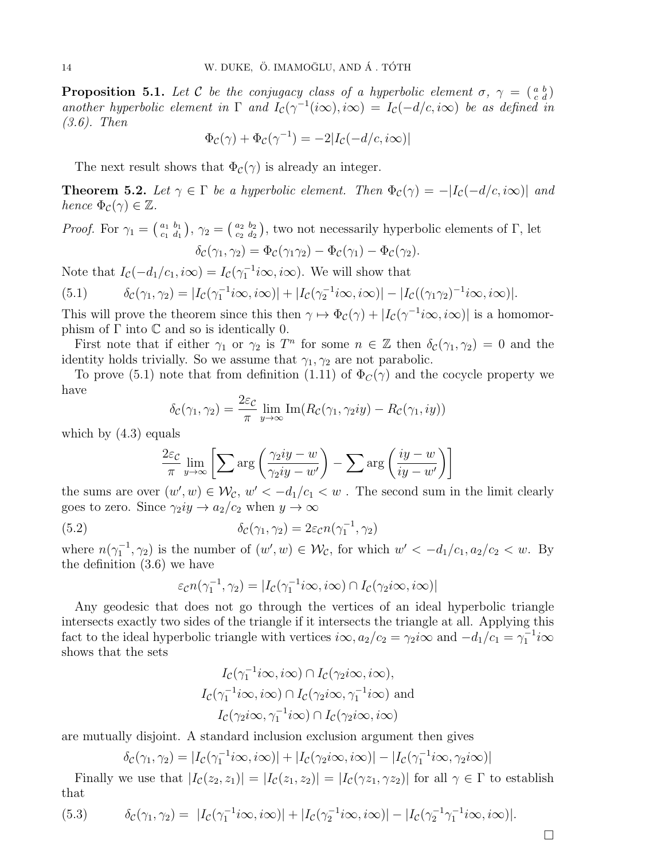**Proposition 5.1.** Let C be the conjugacy class of a hyperbolic element  $\sigma$ ,  $\gamma = \begin{pmatrix} a & b \\ c & d \end{pmatrix}$ another hyperbolic element in  $\Gamma$  and  $I_c(\gamma^{-1}(i\infty), i\infty) = I_c(-d/c, i\infty)$  be as defined in (3.6). Then

$$
\Phi_{\mathcal{C}}(\gamma) + \Phi_{\mathcal{C}}(\gamma^{-1}) = -2|I_{\mathcal{C}}(-d/c, i\infty)|
$$

The next result shows that  $\Phi_c(\gamma)$  is already an integer.

**Theorem 5.2.** Let  $\gamma \in \Gamma$  be a hyperbolic element. Then  $\Phi_c(\gamma) = -|I_c(-d/c, i\infty)|$  and hence  $\Phi_c(\gamma) \in \mathbb{Z}$ .

*Proof.* For  $\gamma_1 = \begin{pmatrix} a_1 & b_1 \\ c_1 & d_1 \end{pmatrix}$  $\left(\begin{smallmatrix} a_1&b_1\ c_1&d_1 \end{smallmatrix}\right),\, \gamma_2=\left(\begin{smallmatrix} a_2&b_2\ c_2&d_2 \end{smallmatrix}\right)$  $\begin{bmatrix} a_2 & b_2 \ c_2 & d_2 \end{bmatrix}$ , two not necessarily hyperbolic elements of  $\Gamma$ , let  $\delta_{\mathcal{C}}(\gamma_1, \gamma_2) = \Phi_{\mathcal{C}}(\gamma_1 \gamma_2) - \Phi_{\mathcal{C}}(\gamma_1) - \Phi_{\mathcal{C}}(\gamma_2).$ 

Note that  $I_{\mathcal{C}}(-d_1/c_1, i\infty) = I_{\mathcal{C}}(\gamma_1^{-1}i\infty, i\infty)$ . We will show that

(5.1) 
$$
\delta_{\mathcal{C}}(\gamma_1, \gamma_2) = |I_{\mathcal{C}}(\gamma_1^{-1} i\infty, i\infty)| + |I_{\mathcal{C}}(\gamma_2^{-1} i\infty, i\infty)| - |I_{\mathcal{C}}((\gamma_1 \gamma_2)^{-1} i\infty, i\infty)|.
$$

This will prove the theorem since this then  $\gamma \mapsto \Phi_c(\gamma) + |I_c(\gamma^{-1} i\infty, i\infty)|$  is a homomorphism of  $\Gamma$  into  $\mathbb C$  and so is identically 0.

First note that if either  $\gamma_1$  or  $\gamma_2$  is  $T^n$  for some  $n \in \mathbb{Z}$  then  $\delta_c(\gamma_1, \gamma_2) = 0$  and the identity holds trivially. So we assume that  $\gamma_1, \gamma_2$  are not parabolic.

To prove (5.1) note that from definition (1.11) of  $\Phi_C(\gamma)$  and the cocycle property we have

$$
\delta_{\mathcal{C}}(\gamma_1, \gamma_2) = \frac{2\varepsilon_{\mathcal{C}}}{\pi} \lim_{y \to \infty} \text{Im}(R_{\mathcal{C}}(\gamma_1, \gamma_2 iy) - R_{\mathcal{C}}(\gamma_1, iy))
$$

which by  $(4.3)$  equals

$$
\frac{2\varepsilon_{\mathcal{C}}}{\pi} \lim_{y \to \infty} \left[ \sum \arg \left( \frac{\gamma_2 iy - w}{\gamma_2 iy - w'} \right) - \sum \arg \left( \frac{iy - w}{iy - w'} \right) \right]
$$

the sums are over  $(w', w) \in \mathcal{W}_{\mathcal{C}}$ ,  $w' < -d_1/c_1 < w$ . The second sum in the limit clearly goes to zero. Since  $\gamma_2 iy \to a_2/c_2$  when  $y \to \infty$ 

(5.2) 
$$
\delta_{\mathcal{C}}(\gamma_1, \gamma_2) = 2\varepsilon_{\mathcal{C}} n(\gamma_1^{-1}, \gamma_2)
$$

where  $n(\gamma_1^{-1}, \gamma_2)$  is the number of  $(w', w) \in \mathcal{W}_{\mathcal{C}}$ , for which  $w' < -d_1/c_1, a_2/c_2 < w$ . By the definition (3.6) we have

$$
\varepsilon_{\mathcal{C}} n(\gamma_1^{-1}, \gamma_2) = |I_{\mathcal{C}}(\gamma_1^{-1} i\infty, i\infty) \cap I_{\mathcal{C}}(\gamma_2 i\infty, i\infty)|
$$

Any geodesic that does not go through the vertices of an ideal hyperbolic triangle intersects exactly two sides of the triangle if it intersects the triangle at all. Applying this fact to the ideal hyperbolic triangle with vertices  $i\infty$ ,  $a_2/c_2 = \gamma_2 i\infty$  and  $-d_1/c_1 = \gamma_1^{-1} i\infty$ shows that the sets

$$
I_{\mathcal{C}}(\gamma_1^{-1}i\infty, i\infty) \cap I_{\mathcal{C}}(\gamma_2 i\infty, i\infty),
$$
  
\n
$$
I_{\mathcal{C}}(\gamma_1^{-1}i\infty, i\infty) \cap I_{\mathcal{C}}(\gamma_2 i\infty, \gamma_1^{-1}i\infty) \text{ and }
$$
  
\n
$$
I_{\mathcal{C}}(\gamma_2 i\infty, \gamma_1^{-1}i\infty) \cap I_{\mathcal{C}}(\gamma_2 i\infty, i\infty)
$$

are mutually disjoint. A standard inclusion exclusion argument then gives

$$
\delta_{\mathcal{C}}(\gamma_1, \gamma_2) = |I_{\mathcal{C}}(\gamma_1^{-1} i\infty, i\infty)| + |I_{\mathcal{C}}(\gamma_2 i\infty, i\infty)| - |I_{\mathcal{C}}(\gamma_1^{-1} i\infty, \gamma_2 i\infty)|
$$

Finally we use that  $|I_{\mathcal{C}}(z_1, z_1)| = |I_{\mathcal{C}}(z_1, z_2)| = |I_{\mathcal{C}}(\gamma z_1, \gamma z_2)|$  for all  $\gamma \in \Gamma$  to establish that

(5.3) 
$$
\delta_{\mathcal{C}}(\gamma_1, \gamma_2) = |I_{\mathcal{C}}(\gamma_1^{-1} i\infty, i\infty)| + |I_{\mathcal{C}}(\gamma_2^{-1} i\infty, i\infty)| - |I_{\mathcal{C}}(\gamma_2^{-1} \gamma_1^{-1} i\infty, i\infty)|.
$$

 $\Box$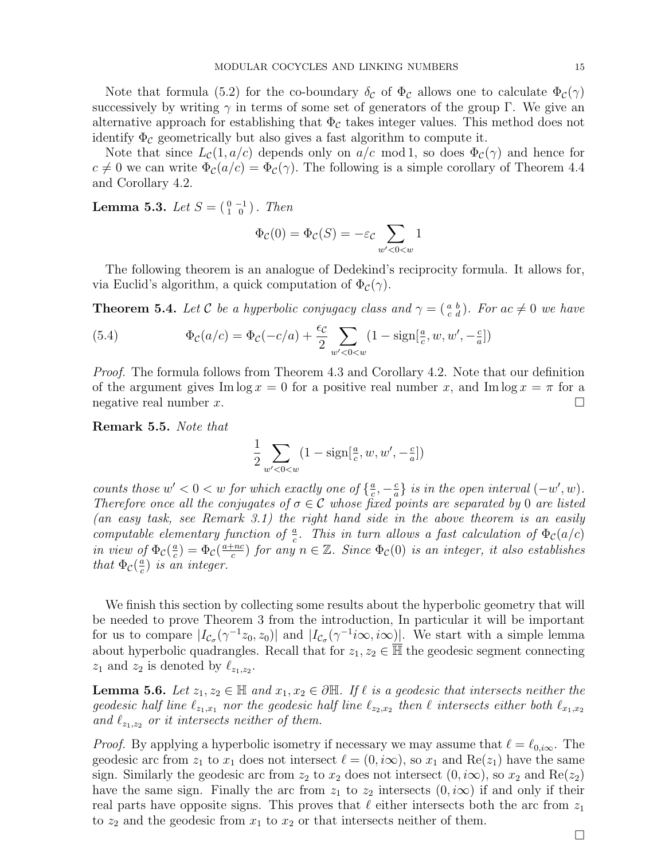Note that formula (5.2) for the co-boundary  $\delta_c$  of  $\Phi_c$  allows one to calculate  $\Phi_c(\gamma)$ successively by writing  $\gamma$  in terms of some set of generators of the group Γ. We give an alternative approach for establishing that  $\Phi_{\mathcal{C}}$  takes integer values. This method does not identify  $\Phi_{\mathcal{C}}$  geometrically but also gives a fast algorithm to compute it.

Note that since  $L_{\mathcal{C}}(1, a/c)$  depends only on  $a/c$  mod 1, so does  $\Phi_{\mathcal{C}}(\gamma)$  and hence for  $c \neq 0$  we can write  $\Phi_c(a/c) = \Phi_c(\gamma)$ . The following is a simple corollary of Theorem 4.4 and Corollary 4.2.

**Lemma 5.3.** Let  $S = \begin{pmatrix} 0 & -1 \\ 1 & 0 \end{pmatrix}$ . Then

$$
\Phi_{\mathcal{C}}(0) = \Phi_{\mathcal{C}}(S) = -\varepsilon_{\mathcal{C}} \sum_{w' < 0 < w} 1
$$

The following theorem is an analogue of Dedekind's reciprocity formula. It allows for, via Euclid's algorithm, a quick computation of  $\Phi_c(\gamma)$ .

**Theorem 5.4.** Let C be a hyperbolic conjugacy class and  $\gamma = \begin{pmatrix} a & b \\ c & d \end{pmatrix}$ . For ac  $\neq 0$  we have

(5.4) 
$$
\Phi_{\mathcal{C}}(a/c) = \Phi_{\mathcal{C}}(-c/a) + \frac{\epsilon_{\mathcal{C}}}{2} \sum_{w' < 0 < w} (1 - \text{sign}[\frac{a}{c}, w, w', -\frac{c}{a}])
$$

*Proof.* The formula follows from Theorem 4.3 and Corollary 4.2. Note that our definition of the argument gives Im  $\log x = 0$  for a positive real number x, and Im  $\log x = \pi$  for a negative real number  $x$ .

Remark 5.5. Note that

$$
\frac{1}{2}\sum_{w'<0
$$

counts those  $w' < 0 < w$  for which exactly one of  $\{\frac{a}{c}\}$  $\frac{a}{c}, -\frac{c}{a}$  $\frac{c}{a}$  is in the open interval  $(-w', w)$ . Therefore once all the conjugates of  $\sigma \in \mathcal{C}$  whose fixed points are separated by 0 are listed (an easy task, see Remark 3.1) the right hand side in the above theorem is an easily computable elementary function of  $\frac{a}{c}$ . This in turn allows a fast calculation of  $\Phi_c(a/c)$ in view of  $\Phi_c(\frac{a}{c})$  $\frac{a}{c}$ ) =  $\Phi_c(\frac{a+nc}{c})$  $(\frac{c}{c})$  for any  $n \in \mathbb{Z}$ . Since  $\Phi_c(0)$  is an integer, it also establishes that  $\Phi_c(\frac{a}{c})$  $\frac{a}{c}$ ) is an integer.

We finish this section by collecting some results about the hyperbolic geometry that will be needed to prove Theorem 3 from the introduction, In particular it will be important for us to compare  $|I_{\mathcal{C}_{\sigma}}(\gamma^{-1}z_0,z_0)|$  and  $|I_{\mathcal{C}_{\sigma}}(\gamma^{-1}i\infty,i\infty)|$ . We start with a simple lemma about hyperbolic quadrangles. Recall that for  $z_1, z_2 \in \overline{\mathbb{H}}$  the geodesic segment connecting  $z_1$  and  $z_2$  is denoted by  $\ell_{z_1,z_2}$ .

**Lemma 5.6.** Let  $z_1, z_2 \in \mathbb{H}$  and  $x_1, x_2 \in \partial \mathbb{H}$ . If  $\ell$  is a geodesic that intersects neither the geodesic half line  $\ell_{z_1,x_1}$  nor the geodesic half line  $\ell_{z_2,x_2}$  then  $\ell$  intersects either both  $\ell_{x_1,x_2}$ and  $\ell_{z_1,z_2}$  or it intersects neither of them.

*Proof.* By applying a hyperbolic isometry if necessary we may assume that  $\ell = \ell_{0,i\infty}$ . The geodesic arc from  $z_1$  to  $x_1$  does not intersect  $\ell = (0, i\infty)$ , so  $x_1$  and  $\text{Re}(z_1)$  have the same sign. Similarly the geodesic arc from  $z_2$  to  $x_2$  does not intersect  $(0, i\infty)$ , so  $x_2$  and  $\text{Re}(z_2)$ have the same sign. Finally the arc from  $z_1$  to  $z_2$  intersects  $(0, i\infty)$  if and only if their real parts have opposite signs. This proves that  $\ell$  either intersects both the arc from  $z_1$ to  $z_2$  and the geodesic from  $x_1$  to  $x_2$  or that intersects neither of them.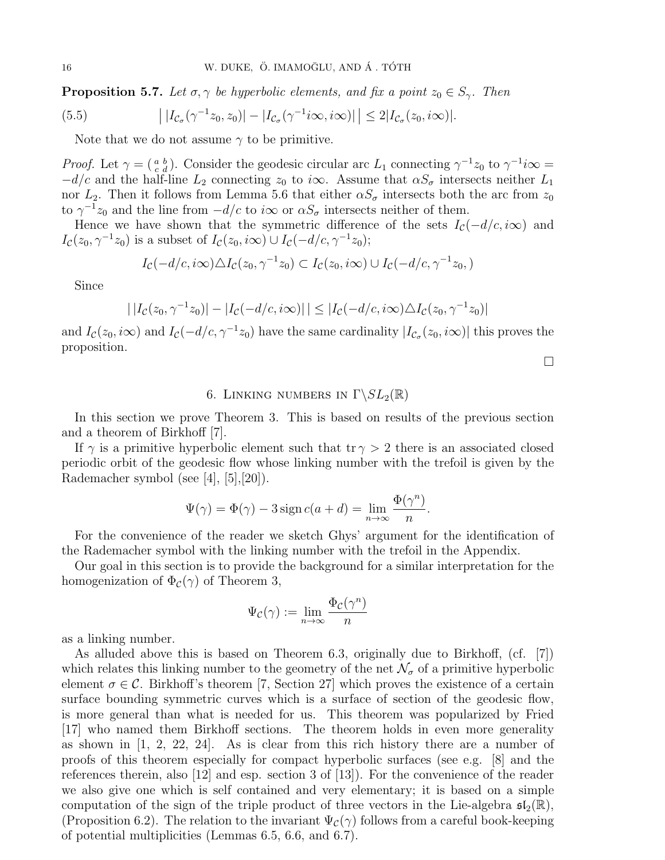**Proposition 5.7.** Let  $\sigma, \gamma$  be hyperbolic elements, and fix a point  $z_0 \in S_{\gamma}$ . Then

(5.5) 
$$
\left| |I_{\mathcal{C}_{\sigma}}(\gamma^{-1}z_0,z_0)| - |I_{\mathcal{C}_{\sigma}}(\gamma^{-1}i\infty,i\infty)| \right| \leq 2|I_{\mathcal{C}_{\sigma}}(z_0,i\infty)|.
$$

Note that we do not assume  $\gamma$  to be primitive.

*Proof.* Let  $\gamma = \begin{pmatrix} a & b \\ c & d \end{pmatrix}$ . Consider the geodesic circular arc  $L_1$  connecting  $\gamma^{-1}z_0$  to  $\gamma^{-1}i\infty =$  $-d/c$  and the half-line  $L_2$  connecting  $z_0$  to i $\infty$ . Assume that  $\alpha S_{\sigma}$  intersects neither  $L_1$ nor  $L_2$ . Then it follows from Lemma 5.6 that either  $\alpha S_{\sigma}$  intersects both the arc from  $z_0$ to  $\gamma^{-1}z_0$  and the line from  $-d/c$  to  $i\infty$  or  $\alpha S_{\sigma}$  intersects neither of them.

Hence we have shown that the symmetric difference of the sets  $I_c(-d/c, i\infty)$  and  $I_{\mathcal{C}}(z_0, \gamma^{-1}z_0)$  is a subset of  $I_{\mathcal{C}}(z_0, i\infty) \cup I_{\mathcal{C}}(-d/c, \gamma^{-1}z_0);$ 

$$
I_{\mathcal{C}}(-d/c, i\infty)\triangle I_{\mathcal{C}}(z_0, \gamma^{-1}z_0) \subset I_{\mathcal{C}}(z_0, i\infty) \cup I_{\mathcal{C}}(-d/c, \gamma^{-1}z_0, )
$$

Since

$$
| |I_{\mathcal{C}}(z_0, \gamma^{-1} z_0)| - |I_{\mathcal{C}}(-d/c, i\infty)| | \leq |I_{\mathcal{C}}(-d/c, i\infty) \triangle I_{\mathcal{C}}(z_0, \gamma^{-1} z_0)|
$$

and  $I_c(z_0,i\infty)$  and  $I_c(-d/c,\gamma^{-1}z_0)$  have the same cardinality  $|I_{c_\sigma}(z_0,i\infty)|$  this proves the proposition.

 $\Box$ 

### 6. LINKING NUMBERS IN  $\Gamma \backslash SL_2(\mathbb{R})$

In this section we prove Theorem 3. This is based on results of the previous section and a theorem of Birkhoff [7].

If  $\gamma$  is a primitive hyperbolic element such that  $\text{tr} \gamma > 2$  there is an associated closed periodic orbit of the geodesic flow whose linking number with the trefoil is given by the Rademacher symbol (see [4], [5],[20]).

$$
\Psi(\gamma) = \Phi(\gamma) - 3 \operatorname{sign} c(a+d) = \lim_{n \to \infty} \frac{\Phi(\gamma^n)}{n}.
$$

For the convenience of the reader we sketch Ghys' argument for the identification of the Rademacher symbol with the linking number with the trefoil in the Appendix.

Our goal in this section is to provide the background for a similar interpretation for the homogenization of  $\Phi_c(\gamma)$  of Theorem 3,

$$
\Psi_{\mathcal{C}}(\gamma) := \lim_{n \to \infty} \frac{\Phi_{\mathcal{C}}(\gamma^n)}{n}
$$

as a linking number.

As alluded above this is based on Theorem 6.3, originally due to Birkhoff, (cf. [7]) which relates this linking number to the geometry of the net  $\mathcal{N}_{\sigma}$  of a primitive hyperbolic element  $\sigma \in \mathcal{C}$ . Birkhoff's theorem [7, Section 27] which proves the existence of a certain surface bounding symmetric curves which is a surface of section of the geodesic flow, is more general than what is needed for us. This theorem was popularized by Fried [17] who named them Birkhoff sections. The theorem holds in even more generality as shown in  $\begin{bmatrix} 1, 2, 22, 24 \end{bmatrix}$ . As is clear from this rich history there are a number of proofs of this theorem especially for compact hyperbolic surfaces (see e.g. [8] and the references therein, also [12] and esp. section 3 of [13]). For the convenience of the reader we also give one which is self contained and very elementary; it is based on a simple computation of the sign of the triple product of three vectors in the Lie-algebra  $\mathfrak{sl}_2(\mathbb{R})$ , (Proposition 6.2). The relation to the invariant  $\Psi_c(\gamma)$  follows from a careful book-keeping of potential multiplicities (Lemmas 6.5, 6.6, and 6.7).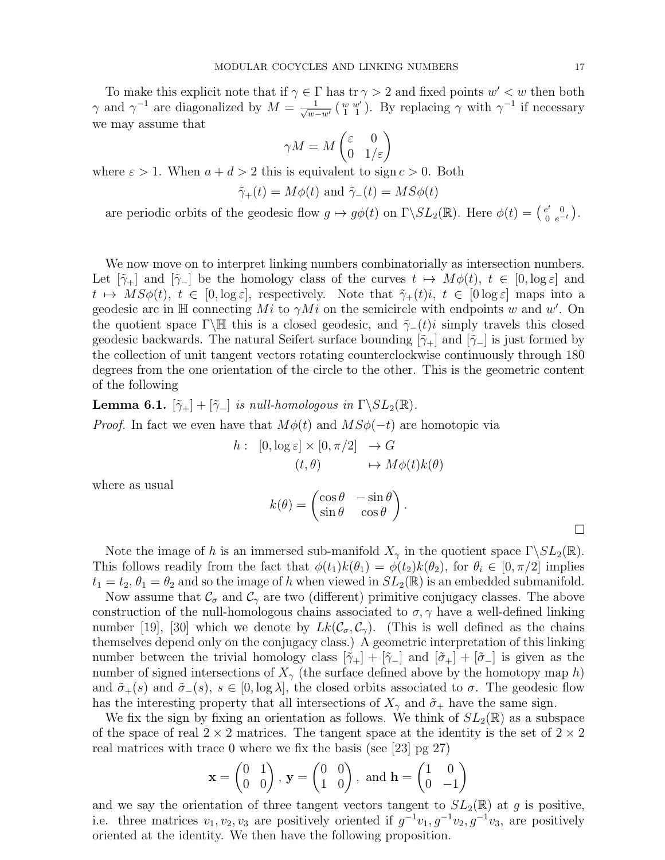To make this explicit note that if  $\gamma \in \Gamma$  has  $\text{tr } \gamma > 2$  and fixed points  $w' < w$  then both  $\gamma$  and  $\gamma^{-1}$  are diagonalized by  $M = \frac{1}{\sqrt{m}}$  $\frac{1}{w-w'}$  ( $\frac{w}{1}$   $\frac{w'}{1}$ ). By replacing  $\gamma$  with  $\gamma^{-1}$  if necessary we may assume that

$$
\gamma M = M \begin{pmatrix} \varepsilon & 0\\ 0 & 1/\varepsilon \end{pmatrix}
$$

where  $\varepsilon > 1$ . When  $a + d > 2$  this is equivalent to sign  $c > 0$ . Both

$$
\tilde{\gamma}_{+}(t) = M\phi(t)
$$
 and  $\tilde{\gamma}_{-}(t) = MS\phi(t)$ 

are periodic orbits of the geodesic flow  $g \mapsto g\phi(t)$  on  $\Gamma \backslash SL_2(\mathbb{R})$ . Here  $\phi(t) = \begin{pmatrix} e^t & 0 \\ 0 & e^{-t} \end{pmatrix}$  $\overset{e^t}{0}\, \, \overset{0}{e^{-t}}$ ).

We now move on to interpret linking numbers combinatorially as intersection numbers. Let  $[\tilde{\gamma}_+]$  and  $[\tilde{\gamma}_-]$  be the homology class of the curves  $t \mapsto M\phi(t), t \in [0, \log \varepsilon]$  and  $t \mapsto MS\phi(t), t \in [0, \log \varepsilon],$  respectively. Note that  $\tilde{\gamma}_+(t)i, t \in [0 \log \varepsilon]$  maps into a geodesic arc in  $\mathbb H$  connecting Mi to  $\gamma M i$  on the semicircle with endpoints w and w'. On the quotient space Γ\H this is a closed geodesic, and  $\tilde{\gamma}_-(t)i$  simply travels this closed geodesic backwards. The natural Seifert surface bounding  $[\tilde{\gamma}_+]$  and  $[\tilde{\gamma}_-]$  is just formed by the collection of unit tangent vectors rotating counterclockwise continuously through 180 degrees from the one orientation of the circle to the other. This is the geometric content of the following

**Lemma 6.1.**  $[\tilde{\gamma}_+] + [\tilde{\gamma}_-]$  is null-homologous in  $\Gamma \backslash SL_2(\mathbb{R})$ . *Proof.* In fact we even have that  $M\phi(t)$  and  $MS\phi(-t)$  are homotopic via

$$
h: [0, \log \varepsilon] \times [0, \pi/2] \to G
$$
  

$$
(t, \theta) \mapsto M\phi(t)k(\theta)
$$

where as usual

$$
k(\theta) = \begin{pmatrix} \cos \theta & -\sin \theta \\ \sin \theta & \cos \theta \end{pmatrix}.
$$

Note the image of h is an immersed sub-manifold  $X_{\gamma}$  in the quotient space  $\Gamma \backslash SL_2(\mathbb{R})$ . This follows readily from the fact that  $\phi(t_1)k(\theta_1) = \phi(t_2)k(\theta_2)$ , for  $\theta_i \in [0, \pi/2]$  implies  $t_1 = t_2, \theta_1 = \theta_2$  and so the image of h when viewed in  $SL_2(\mathbb{R})$  is an embedded submanifold.

Now assume that  $\mathcal{C}_{\sigma}$  and  $\mathcal{C}_{\gamma}$  are two (different) primitive conjugacy classes. The above construction of the null-homologous chains associated to  $\sigma, \gamma$  have a well-defined linking number [19], [30] which we denote by  $Lk(\mathcal{C}_{\sigma}, \mathcal{C}_{\gamma})$ . (This is well defined as the chains themselves depend only on the conjugacy class.) A geometric interpretation of this linking number between the trivial homology class  $[\tilde{\gamma}_+] + [\tilde{\gamma}_-]$  and  $[\tilde{\sigma}_+] + [\tilde{\sigma}_-]$  is given as the number of signed intersections of  $X_{\gamma}$  (the surface defined above by the homotopy map h) and  $\tilde{\sigma}_+(s)$  and  $\tilde{\sigma}_-(s)$ ,  $s \in [0, \log \lambda]$ , the closed orbits associated to  $\sigma$ . The geodesic flow has the interesting property that all intersections of  $X_{\gamma}$  and  $\tilde{\sigma}_{+}$  have the same sign.

We fix the sign by fixing an orientation as follows. We think of  $SL_2(\mathbb{R})$  as a subspace of the space of real  $2 \times 2$  matrices. The tangent space at the identity is the set of  $2 \times 2$ real matrices with trace 0 where we fix the basis (see [23] pg 27)

$$
\mathbf{x} = \begin{pmatrix} 0 & 1 \\ 0 & 0 \end{pmatrix}, \mathbf{y} = \begin{pmatrix} 0 & 0 \\ 1 & 0 \end{pmatrix}, \text{ and } \mathbf{h} = \begin{pmatrix} 1 & 0 \\ 0 & -1 \end{pmatrix}
$$

and we say the orientation of three tangent vectors tangent to  $SL_2(\mathbb{R})$  at g is positive, i.e. three matrices  $v_1, v_2, v_3$  are positively oriented if  $g^{-1}v_1, g^{-1}v_2, g^{-1}v_3$ , are positively oriented at the identity. We then have the following proposition.

 $\Box$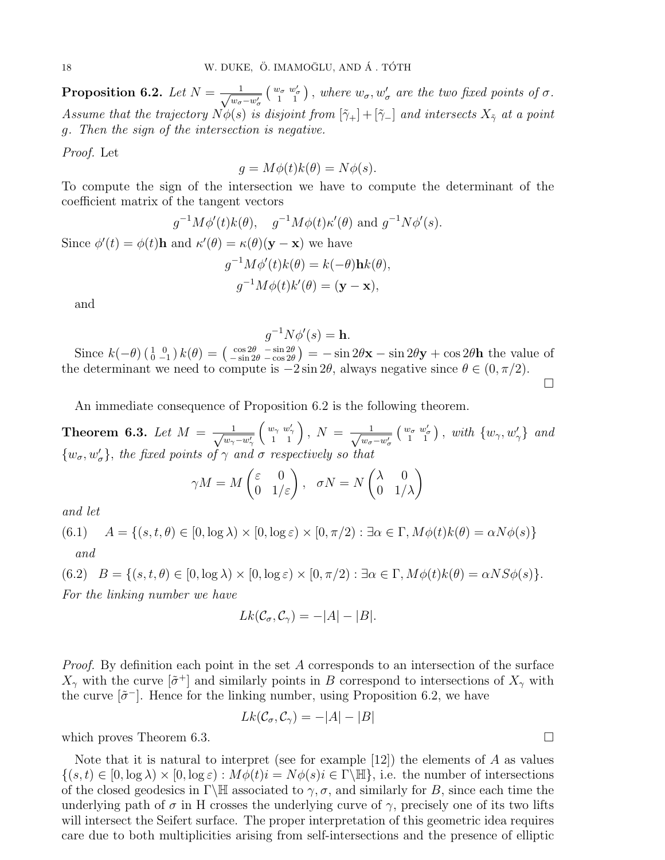Proposition 6.2. Let  $N = \frac{1}{\sqrt{2\pi}}$  $w_{\sigma}-w_{\sigma}'$  $\begin{pmatrix} w_{\sigma} & w'_{\sigma} \\ 1 & 1 \end{pmatrix}$ , where  $w_{\sigma}, w'_{\sigma}$  are the two fixed points of  $\sigma$ . Assume that the trajectory  $N\phi(s)$  is disjoint from  $[\tilde{\gamma}_+] + [\tilde{\gamma}_-]$  and intersects  $X_{\tilde{\gamma}}$  at a point g. Then the sign of the intersection is negative.

Proof. Let

$$
g = M\phi(t)k(\theta) = N\phi(s).
$$

To compute the sign of the intersection we have to compute the determinant of the coefficient matrix of the tangent vectors

$$
g^{-1}M\phi'(t)k(\theta)
$$
,  $g^{-1}M\phi(t)\kappa'(\theta)$  and  $g^{-1}N\phi'(s)$ .

Since  $\phi'(t) = \phi(t)$ **h** and  $\kappa'(\theta) = \kappa(\theta)(\mathbf{y} - \mathbf{x})$  we have  $g^{-1}M\phi'(t)k(\theta) = k(-\theta)\mathbf{h}k(\theta),$ 

$$
g^{-1}M\phi(t)k'(\theta) = (\mathbf{y} - \mathbf{x}),
$$

and

$$
g^{-1}N\phi'(s) = \mathbf{h}.
$$

Since  $k(-\theta)$   $\begin{pmatrix} 1 & 0 \\ 0 & -1 \end{pmatrix}$   $k(\theta) = \begin{pmatrix} \cos 2\theta & -\sin 2\theta \\ -\sin 2\theta & -\cos 2\theta \end{pmatrix}$  $\frac{\cos 2\theta}{\sin 2\theta - \cos 2\theta}$  =  $-\sin 2\theta$ **x**  $-\sin 2\theta$ **y** + cos 2 $\theta$ **h** the value of the determinant we need to compute is  $-2\sin 2\theta$ , always negative since  $\theta \in (0, \pi/2)$ .  $\Box$ 

An immediate consequence of Proposition 6.2 is the following theorem.

Theorem 6.3. Let  $M = \frac{1}{\sqrt{2}}$  $w_{\gamma}$ <sup>- $w_{\gamma}'$ </sup>  $\begin{pmatrix} w_{\gamma} & w'_{\gamma} \\ 1 & 1 \end{pmatrix}, N = \frac{1}{\sqrt{w_{\sigma}}}$  $w_{\sigma}-w_{\sigma}'$  $\begin{pmatrix} w_{\sigma} & w'_{\sigma} \\ 1 & 1 \end{pmatrix}$ , with  $\{w_{\gamma}, w'_{\gamma}\}$  and  $\{w_{\sigma}, w'_{\sigma}\},$  the fixed points of  $\gamma$  and  $\sigma$  respectively so that

$$
\gamma M = M \begin{pmatrix} \varepsilon & 0 \\ 0 & 1/\varepsilon \end{pmatrix}, \quad \sigma N = N \begin{pmatrix} \lambda & 0 \\ 0 & 1/\lambda \end{pmatrix}
$$

and let

(6.1)  $A = \{(s, t, \theta) \in [0, \log \lambda) \times [0, \log \varepsilon) \times [0, \pi/2) : \exists \alpha \in \Gamma, M\phi(t)k(\theta) = \alpha N\phi(s)\}\$ and

$$
(6.2) \quad B = \{(s, t, \theta) \in [0, \log \lambda) \times [0, \log \varepsilon) \times [0, \pi/2) : \exists \alpha \in \Gamma, M\phi(t)k(\theta) = \alpha NS\phi(s)\}.
$$

For the linking number we have

$$
Lk(\mathcal{C}_{\sigma}, \mathcal{C}_{\gamma}) = -|A| - |B|.
$$

*Proof.* By definition each point in the set A corresponds to an intersection of the surface  $X_{\gamma}$  with the curve  $[\tilde{\sigma}^+]$  and similarly points in B correspond to intersections of  $X_{\gamma}$  with the curve  $[\tilde{\sigma}^-]$ . Hence for the linking number, using Proposition 6.2, we have

$$
Lk(\mathcal{C}_{\sigma}, \mathcal{C}_{\gamma}) = -|A| - |B|
$$

which proves Theorem 6.3.

Note that it is natural to interpret (see for example  $[12]$ ) the elements of A as values  $\{(s,t)\in[0,\log\lambda)\times[0,\log\varepsilon):M\phi(t)i=N\phi(s)i\in\Gamma\backslash\mathbb{H}\}\text{, i.e. the number of intersections }\mathbb{R}$ of the closed geodesics in Γ\H associated to  $\gamma$ ,  $\sigma$ , and similarly for B, since each time the underlying path of  $\sigma$  in H crosses the underlying curve of  $\gamma$ , precisely one of its two lifts will intersect the Seifert surface. The proper interpretation of this geometric idea requires care due to both multiplicities arising from self-intersections and the presence of elliptic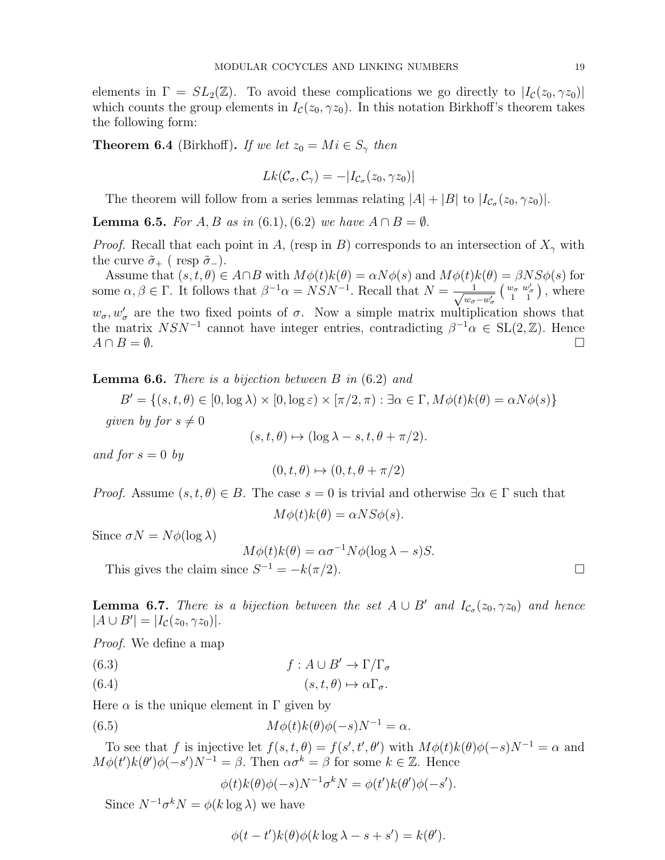elements in  $\Gamma = SL_2(\mathbb{Z})$ . To avoid these complications we go directly to  $|I_c(z_0, \gamma z_0)|$ which counts the group elements in  $I_{\mathcal{C}}(z_0, \gamma z_0)$ . In this notation Birkhoff's theorem takes the following form:

**Theorem 6.4** (Birkhoff). If we let  $z_0 = Mi \in S_\gamma$  then

$$
Lk(\mathcal{C}_{\sigma}, \mathcal{C}_{\gamma}) = -|I_{\mathcal{C}_{\sigma}}(z_0, \gamma z_0)|
$$

The theorem will follow from a series lemmas relating  $|A| + |B|$  to  $|I_{\mathcal{C}_{\sigma}}(z_0, \gamma z_0)|$ .

**Lemma 6.5.** For A, B as in (6.1), (6.2) we have  $A \cap B = \emptyset$ .

*Proof.* Recall that each point in A, (resp in B) corresponds to an intersection of  $X_\gamma$  with the curve  $\tilde{\sigma}_+$  ( resp  $\tilde{\sigma}_-$ ).

Assume that  $(s, t, \theta) \in A \cap B$  with  $M\phi(t)k(\theta) = \alpha N\phi(s)$  and  $M\phi(t)k(\theta) = \beta NS\phi(s)$  for some  $\alpha, \beta \in \Gamma$ . It follows that  $\beta^{-1}\alpha = NSN^{-1}$ . Recall that  $N = \frac{1}{\sqrt{2\pi}}$  $w_{\sigma}-w_{\sigma}'$  $\begin{pmatrix} w_{\sigma} & w'_{\sigma} \\ 1 & 1 \end{pmatrix}$ , where  $w_{\sigma}, w_{\sigma}^{\prime}$  are the two fixed points of  $\sigma$ . Now a simple matrix multiplication shows that the matrix  $NSN^{-1}$  cannot have integer entries, contradicting  $\beta^{-1}\alpha \in SL(2,\mathbb{Z})$ . Hence  $A \cap B = \emptyset$ .

**Lemma 6.6.** There is a bijection between  $B$  in  $(6.2)$  and

 $B' = \{(s, t, \theta) \in [0, \log \lambda) \times [0, \log \varepsilon) \times [\pi/2, \pi) : \exists \alpha \in \Gamma, M\phi(t)k(\theta) = \alpha N\phi(s)\}\$ given by for  $s \neq 0$  $(s, t, \theta) \mapsto (\log \lambda - s, t, \theta + \pi/2).$ 

$$
(3, i, 0) \rightarrow (\log \lambda)
$$

and for  $s = 0$  by

$$
(0, t, \theta) \mapsto (0, t, \theta + \pi/2)
$$

*Proof.* Assume  $(s, t, \theta) \in B$ . The case  $s = 0$  is trivial and otherwise  $\exists \alpha \in \Gamma$  such that

$$
M\phi(t)k(\theta) = \alpha NS\phi(s).
$$

Since  $\sigma N = N\phi(\log \lambda)$ 

$$
M\phi(t)k(\theta) = \alpha \sigma^{-1} N\phi(\log \lambda - s)S.
$$

This gives the claim since  $S^{-1} = -k(\pi/2)$ .

**Lemma 6.7.** There is a bijection between the set  $A \cup B'$  and  $I_{\mathcal{C}_{\sigma}}(z_0, \gamma z_0)$  and hence  $|A \cup B'| = |I_{\mathcal{C}}(z_0, \gamma z_0)|.$ 

Proof. We define a map

- (6.3)  $f : A \cup B' \to \Gamma/\Gamma_\sigma$
- (6.4)  $(s, t, \theta) \mapsto \alpha \Gamma_{\sigma}$ .

Here  $\alpha$  is the unique element in  $\Gamma$  given by

(6.5) 
$$
M\phi(t)k(\theta)\phi(-s)N^{-1}=\alpha.
$$

To see that f is injective let  $f(s,t,\theta) = f(s',t',\theta')$  with  $M\phi(t)k(\theta)\phi(-s)N^{-1} = \alpha$  and  $M\phi(t')k(\theta')\phi(-s')N^{-1} = \beta$ . Then  $\alpha\sigma^k = \beta$  for some  $k \in \mathbb{Z}$ . Hence

 $\phi(t)k(\theta)\phi(-s)N^{-1}\sigma^kN = \phi(t')k(\theta')\phi(-s').$ 

Since  $N^{-1} \sigma^k N = \phi(k \log \lambda)$  we have

$$
\phi(t - t')k(\theta)\phi(k\log\lambda - s + s') = k(\theta').
$$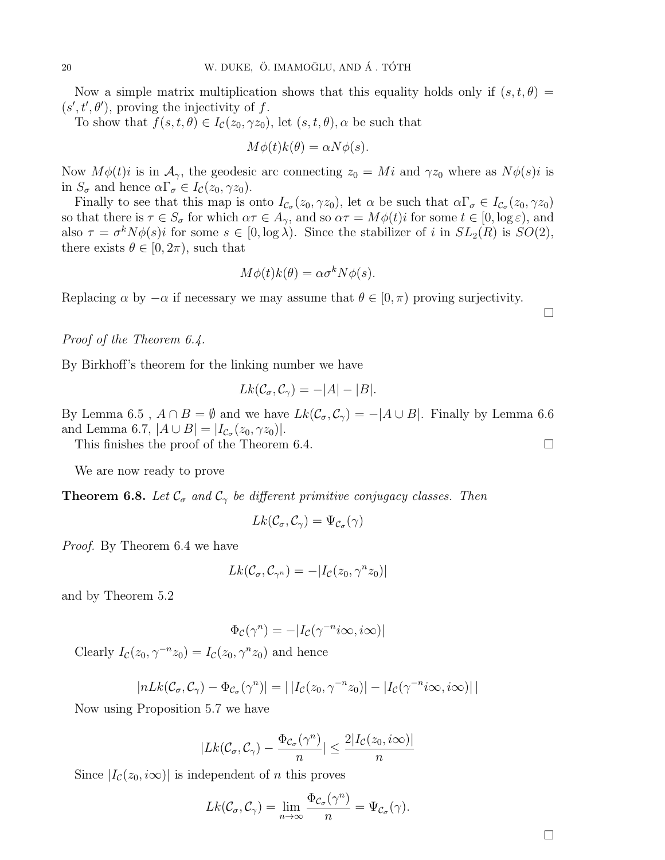Now a simple matrix multiplication shows that this equality holds only if  $(s, t, \theta)$  =  $(s', t', \theta')$ , proving the injectivity of f.

To show that  $f(s, t, \theta) \in I_c(z_0, \gamma z_0)$ , let  $(s, t, \theta)$ ,  $\alpha$  be such that

$$
M\phi(t)k(\theta) = \alpha N\phi(s).
$$

Now  $M\phi(t)i$  is in  $\mathcal{A}_{\gamma}$ , the geodesic arc connecting  $z_0 = Mi$  and  $\gamma z_0$  where as  $N\phi(s)i$  is in  $S_{\sigma}$  and hence  $\alpha \Gamma_{\sigma} \in I_{\mathcal{C}}(z_0, \gamma z_0)$ .

Finally to see that this map is onto  $I_{\mathcal{C}_{\sigma}}(z_0, \gamma z_0)$ , let  $\alpha$  be such that  $\alpha \Gamma_{\sigma} \in I_{\mathcal{C}_{\sigma}}(z_0, \gamma z_0)$ so that there is  $\tau \in S_{\sigma}$  for which  $\alpha \tau \in A_{\gamma}$ , and so  $\alpha \tau = M\phi(t)i$  for some  $t \in [0, \log \varepsilon)$ , and also  $\tau = \sigma^k N \phi(s) i$  for some  $s \in [0, \log \lambda)$ . Since the stabilizer of i in  $SL_2(R)$  is  $SO(2)$ , there exists  $\theta \in [0, 2\pi)$ , such that

$$
M\phi(t)k(\theta) = \alpha \sigma^k N\phi(s).
$$

Replacing  $\alpha$  by  $-\alpha$  if necessary we may assume that  $\theta \in [0, \pi)$  proving surjectivity.

## Proof of the Theorem 6.4.

By Birkhoff's theorem for the linking number we have

$$
Lk(\mathcal{C}_{\sigma}, \mathcal{C}_{\gamma}) = -|A| - |B|.
$$

By Lemma 6.5,  $A \cap B = \emptyset$  and we have  $Lk(\mathcal{C}_{\sigma}, \mathcal{C}_{\gamma}) = -|A \cup B|$ . Finally by Lemma 6.6 and Lemma 6.7,  $|A \cup B| = |I_{C_{\sigma}}(z_0, \gamma z_0)|$ .

This finishes the proof of the Theorem 6.4.  $\Box$ 

We are now ready to prove

**Theorem 6.8.** Let  $\mathcal{C}_{\sigma}$  and  $\mathcal{C}_{\gamma}$  be different primitive conjugacy classes. Then

$$
Lk(\mathcal{C}_{\sigma}, \mathcal{C}_{\gamma}) = \Psi_{\mathcal{C}_{\sigma}}(\gamma)
$$

Proof. By Theorem 6.4 we have

$$
Lk(\mathcal{C}_{\sigma}, \mathcal{C}_{\gamma^n}) = -|I_{\mathcal{C}}(z_0, \gamma^n z_0)|
$$

and by Theorem 5.2

$$
\Phi_{\mathcal{C}}(\gamma^n) = -|I_{\mathcal{C}}(\gamma^{-n}i\infty, i\infty)|
$$

Clearly  $I_c(z_0, \gamma^{-n} z_0) = I_c(z_0, \gamma^n z_0)$  and hence

$$
|nLk(\mathcal{C}_{\sigma}, \mathcal{C}_{\gamma}) - \Phi_{\mathcal{C}_{\sigma}}(\gamma^n)| = | |I_{\mathcal{C}}(z_0, \gamma^{-n}z_0)| - |I_{\mathcal{C}}(\gamma^{-n}i\infty, i\infty)| |
$$

Now using Proposition 5.7 we have

$$
|Lk(\mathcal{C}_{\sigma}, \mathcal{C}_{\gamma}) - \frac{\Phi_{\mathcal{C}_{\sigma}}(\gamma^n)}{n}| \leq \frac{2|I_{\mathcal{C}}(z_0, i\infty)|}{n}
$$

Since  $|I_{\mathcal{C}}(z_0,i\infty)|$  is independent of *n* this proves

$$
Lk(\mathcal{C}_{\sigma}, \mathcal{C}_{\gamma}) = \lim_{n \to \infty} \frac{\Phi_{\mathcal{C}_{\sigma}}(\gamma^n)}{n} = \Psi_{\mathcal{C}_{\sigma}}(\gamma).
$$

 $\Box$ 

 $\Box$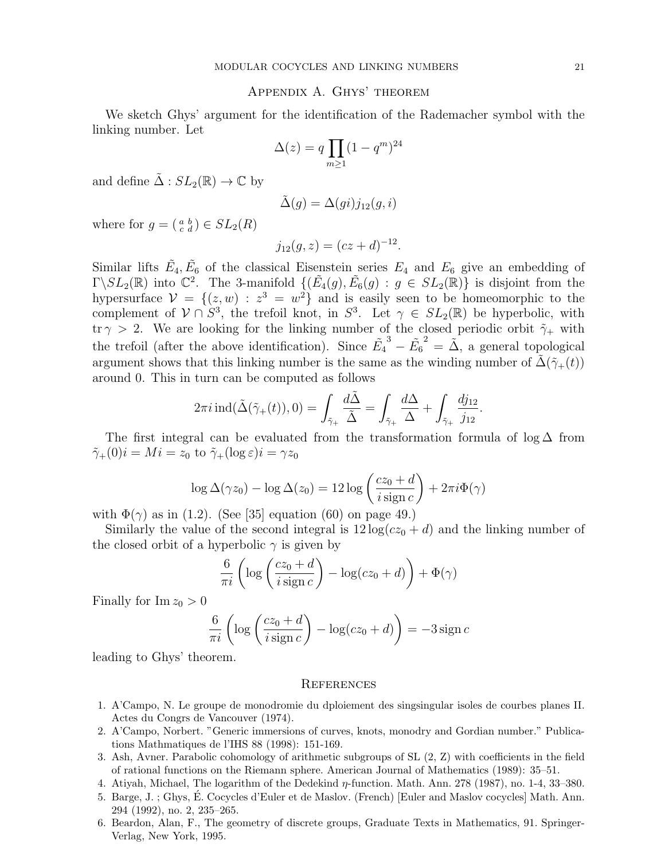#### Appendix A. Ghys' theorem

We sketch Ghys' argument for the identification of the Rademacher symbol with the linking number. Let

$$
\Delta(z) = q \prod_{m \ge 1} (1 - q^m)^{24}
$$

and define  $\tilde{\Delta}: SL_2(\mathbb{R}) \to \mathbb{C}$  by

$$
\tilde{\Delta}(g) = \Delta(gi)j_{12}(g,i)
$$

where for  $g = \begin{pmatrix} a & b \\ c & d \end{pmatrix} \in SL_2(R)$ 

$$
j_{12}(g, z) = (cz + d)^{-12}.
$$

Similar lifts  $\tilde{E}_4, \tilde{E}_6$  of the classical Eisenstein series  $E_4$  and  $E_6$  give an embedding of  $\Gamma\backslash SL_2(\mathbb{R})$  into  $\mathbb{C}^2$ . The 3-manifold  $\{(\tilde{E}_4(g), \tilde{E}_6(g) : g \in SL_2(\mathbb{R})\}$  is disjoint from the hypersurface  $\mathcal{V} = \{(z, w) : z^3 = w^2\}$  and is easily seen to be homeomorphic to the complement of  $V \cap S^3$ , the trefoil knot, in  $S^3$ . Let  $\gamma \in SL_2(\mathbb{R})$  be hyperbolic, with  $\text{tr } \gamma > 2$ . We are looking for the linking number of the closed periodic orbit  $\tilde{\gamma}_+$  with the trefoil (after the above identification). Since  $\tilde{E_4}$  $^3-\tilde{E_6}$  $2^2 = \tilde{\Delta}$ , a general topological argument shows that this linking number is the same as the winding number of  $\tilde{\Delta}(\tilde{\gamma}_+(t))$ around 0. This in turn can be computed as follows

$$
2\pi i \operatorname{ind}(\tilde{\Delta}(\tilde{\gamma}_{+}(t)),0)=\int_{\tilde{\gamma}_{+}}\frac{d\tilde{\Delta}}{\tilde{\Delta}}=\int_{\tilde{\gamma}_{+}}\frac{d\Delta}{\Delta}+\int_{\tilde{\gamma}_{+}}\frac{dj_{12}}{j_{12}}.
$$

The first integral can be evaluated from the transformation formula of  $\log \Delta$  from  $\tilde{\gamma}_+(0)i = Mi = z_0 \text{ to } \tilde{\gamma}_+(\log \varepsilon)i = \gamma z_0$ 

$$
\log \Delta(\gamma z_0) - \log \Delta(z_0) = 12 \log \left( \frac{cz_0 + d}{i \operatorname{sign} c} \right) + 2\pi i \Phi(\gamma)
$$

with  $\Phi(\gamma)$  as in (1.2). (See [35] equation (60) on page 49.)

Similarly the value of the second integral is  $12 \log(cz_0 + d)$  and the linking number of the closed orbit of a hyperbolic  $\gamma$  is given by

$$
\frac{6}{\pi i} \left( \log \left( \frac{cz_0 + d}{i \operatorname{sign} c} \right) - \log(cz_0 + d) \right) + \Phi(\gamma)
$$

Finally for  $\text{Im } z_0 > 0$ 

$$
\frac{6}{\pi i} \left( \log \left( \frac{cz_0 + d}{i \operatorname{sign} c} \right) - \log(cz_0 + d) \right) = -3 \operatorname{sign} c
$$

leading to Ghys' theorem.

#### **REFERENCES**

- 1. A'Campo, N. Le groupe de monodromie du dploiement des singsingular isoles de courbes planes II. Actes du Congrs de Vancouver (1974).
- 2. A'Campo, Norbert. "Generic immersions of curves, knots, monodry and Gordian number." Publications Mathmatiques de l'IHS 88 (1998): 151-169.
- 3. Ash, Avner. Parabolic cohomology of arithmetic subgroups of SL (2, Z) with coefficients in the field of rational functions on the Riemann sphere. American Journal of Mathematics (1989): 35–51.
- 4. Atiyah, Michael, The logarithm of the Dedekind η-function. Math. Ann. 278 (1987), no. 1-4, 33–380.
- 5. Barge, J. ; Ghys, E. Cocycles d'Euler et de Maslov. (French) [Euler and Maslov cocycles] Math. Ann. ´ 294 (1992), no. 2, 235–265.
- 6. Beardon, Alan, F., The geometry of discrete groups, Graduate Texts in Mathematics, 91. Springer-Verlag, New York, 1995.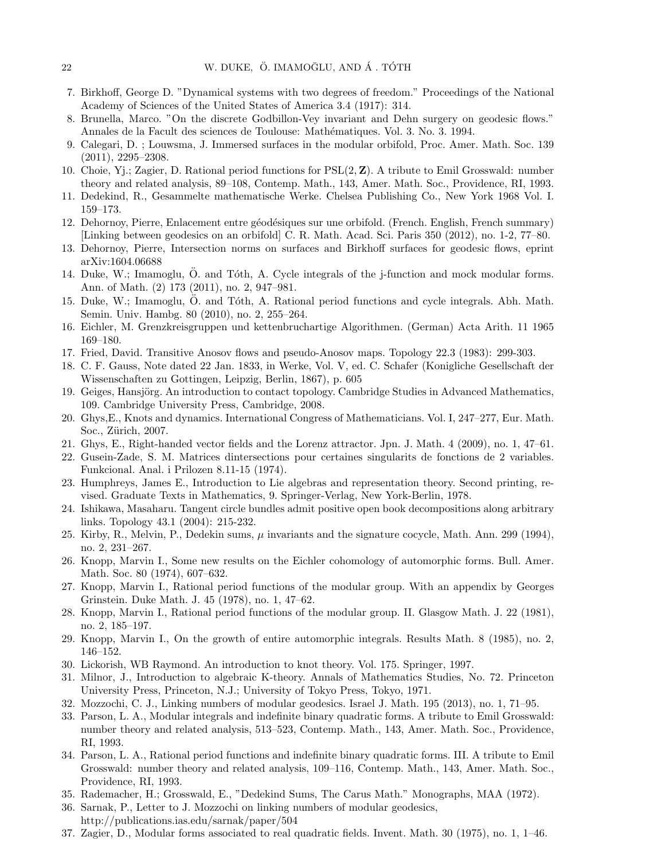- 7. Birkhoff, George D. "Dynamical systems with two degrees of freedom." Proceedings of the National Academy of Sciences of the United States of America 3.4 (1917): 314.
- 8. Brunella, Marco. "On the discrete Godbillon-Vey invariant and Dehn surgery on geodesic flows." Annales de la Facult des sciences de Toulouse: Mathématiques. Vol. 3. No. 3. 1994.
- 9. Calegari, D. ; Louwsma, J. Immersed surfaces in the modular orbifold, Proc. Amer. Math. Soc. 139 (2011), 2295–2308.
- 10. Choie, Yj.; Zagier, D. Rational period functions for PSL(2, Z). A tribute to Emil Grosswald: number theory and related analysis, 89–108, Contemp. Math., 143, Amer. Math. Soc., Providence, RI, 1993.
- 11. Dedekind, R., Gesammelte mathematische Werke. Chelsea Publishing Co., New York 1968 Vol. I. 159–173.
- 12. Dehornoy, Pierre, Enlacement entre géodésiques sur une orbifold. (French. English, French summary) [Linking between geodesics on an orbifold] C. R. Math. Acad. Sci. Paris 350 (2012), no. 1-2, 77–80.
- 13. Dehornoy, Pierre, Intersection norms on surfaces and Birkhoff surfaces for geodesic flows, eprint arXiv:1604.06688
- 14. Duke, W.; Imamoglu,  $\ddot{O}$ , and Toth, A. Cycle integrals of the j-function and mock modular forms. Ann. of Math. (2) 173 (2011), no. 2, 947–981.
- 15. Duke, W.; Imamoglu, O. and T´oth, A. Rational period functions and cycle integrals. Abh. Math. ¨ Semin. Univ. Hambg. 80 (2010), no. 2, 255–264.
- 16. Eichler, M. Grenzkreisgruppen und kettenbruchartige Algorithmen. (German) Acta Arith. 11 1965 169–180.
- 17. Fried, David. Transitive Anosov flows and pseudo-Anosov maps. Topology 22.3 (1983): 299-303.
- 18. C. F. Gauss, Note dated 22 Jan. 1833, in Werke, Vol. V, ed. C. Schafer (Konigliche Gesellschaft der Wissenschaften zu Gottingen, Leipzig, Berlin, 1867), p. 605
- 19. Geiges, Hansjörg. An introduction to contact topology. Cambridge Studies in Advanced Mathematics, 109. Cambridge University Press, Cambridge, 2008.
- 20. Ghys,E., Knots and dynamics. International Congress of Mathematicians. Vol. I, 247–277, Eur. Math. Soc., Zürich, 2007.
- 21. Ghys, E., Right-handed vector fields and the Lorenz attractor. Jpn. J. Math. 4 (2009), no. 1, 47–61.
- 22. Gusein-Zade, S. M. Matrices dintersections pour certaines singularits de fonctions de 2 variables. Funkcional. Anal. i Prilozen 8.11-15 (1974).
- 23. Humphreys, James E., Introduction to Lie algebras and representation theory. Second printing, revised. Graduate Texts in Mathematics, 9. Springer-Verlag, New York-Berlin, 1978.
- 24. Ishikawa, Masaharu. Tangent circle bundles admit positive open book decompositions along arbitrary links. Topology 43.1 (2004): 215-232.
- 25. Kirby, R., Melvin, P., Dedekin sums, µ invariants and the signature cocycle, Math. Ann. 299 (1994), no. 2, 231–267.
- 26. Knopp, Marvin I., Some new results on the Eichler cohomology of automorphic forms. Bull. Amer. Math. Soc. 80 (1974), 607–632.
- 27. Knopp, Marvin I., Rational period functions of the modular group. With an appendix by Georges Grinstein. Duke Math. J. 45 (1978), no. 1, 47–62.
- 28. Knopp, Marvin I., Rational period functions of the modular group. II. Glasgow Math. J. 22 (1981), no. 2, 185–197.
- 29. Knopp, Marvin I., On the growth of entire automorphic integrals. Results Math. 8 (1985), no. 2, 146–152.
- 30. Lickorish, WB Raymond. An introduction to knot theory. Vol. 175. Springer, 1997.
- 31. Milnor, J., Introduction to algebraic K-theory. Annals of Mathematics Studies, No. 72. Princeton University Press, Princeton, N.J.; University of Tokyo Press, Tokyo, 1971.
- 32. Mozzochi, C. J., Linking numbers of modular geodesics. Israel J. Math. 195 (2013), no. 1, 71–95.
- 33. Parson, L. A., Modular integrals and indefinite binary quadratic forms. A tribute to Emil Grosswald: number theory and related analysis, 513–523, Contemp. Math., 143, Amer. Math. Soc., Providence, RI, 1993.
- 34. Parson, L. A., Rational period functions and indefinite binary quadratic forms. III. A tribute to Emil Grosswald: number theory and related analysis, 109–116, Contemp. Math., 143, Amer. Math. Soc., Providence, RI, 1993.
- 35. Rademacher, H.; Grosswald, E., "Dedekind Sums, The Carus Math." Monographs, MAA (1972).
- 36. Sarnak, P., Letter to J. Mozzochi on linking numbers of modular geodesics, http://publications.ias.edu/sarnak/paper/504
- 37. Zagier, D., Modular forms associated to real quadratic fields. Invent. Math. 30 (1975), no. 1, 1–46.